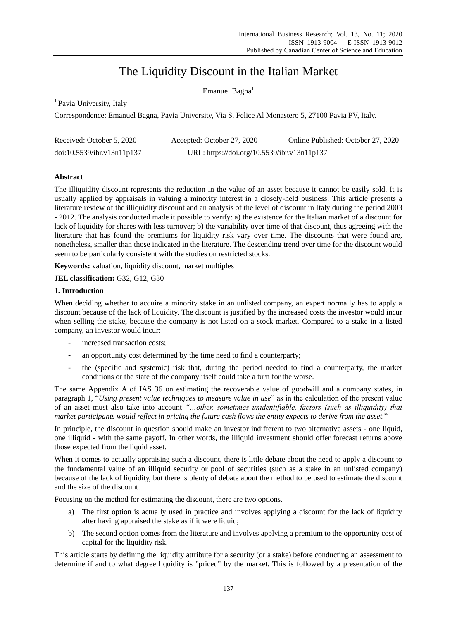# The Liquidity Discount in the Italian Market

Emanuel Bagna $<sup>1</sup>$ </sup>

<sup>1</sup> Pavia University, Italy

Correspondence: Emanuel Bagna, Pavia University, Via S. Felice Al Monastero 5, 27100 Pavia PV, Italy.

| Received: October 5, 2020  | Accepted: October 27, 2020                  | Online Published: October 27, 2020 |
|----------------------------|---------------------------------------------|------------------------------------|
| doi:10.5539/ibr.v13n11p137 | URL: https://doi.org/10.5539/ibr.v13n11p137 |                                    |

## **Abstract**

The illiquidity discount represents the reduction in the value of an asset because it cannot be easily sold. It is usually applied by appraisals in valuing a minority interest in a closely-held business. This article presents a literature review of the illiquidity discount and an analysis of the level of discount in Italy during the period 2003 - 2012. The analysis conducted made it possible to verify: a) the existence for the Italian market of a discount for lack of liquidity for shares with less turnover; b) the variability over time of that discount, thus agreeing with the literature that has found the premiums for liquidity risk vary over time. The discounts that were found are, nonetheless, smaller than those indicated in the literature. The descending trend over time for the discount would seem to be particularly consistent with the studies on restricted stocks.

**Keywords:** valuation, liquidity discount, market multiples

**JEL classification:** G32, G12, G30

## **1. Introduction**

When deciding whether to acquire a minority stake in an unlisted company, an expert normally has to apply a discount because of the lack of liquidity. The discount is justified by the increased costs the investor would incur when selling the stake, because the company is not listed on a stock market. Compared to a stake in a listed company, an investor would incur:

- increased transaction costs;
- an opportunity cost determined by the time need to find a counterparty;
- the (specific and systemic) risk that, during the period needed to find a counterparty, the market conditions or the state of the company itself could take a turn for the worse.

The same Appendix A of IAS 36 on estimating the recoverable value of goodwill and a company states, in paragraph 1, "*Using present value techniques to measure value in use*" as in the calculation of the present value of an asset must also take into account *"…other, sometimes unidentifiable, factors (such as illiquidity) that market participants would reflect in pricing the future cash flows the entity expects to derive from the asset.*"

In principle, the discount in question should make an investor indifferent to two alternative assets - one liquid, one illiquid - with the same payoff. In other words, the illiquid investment should offer forecast returns above those expected from the liquid asset.

When it comes to actually appraising such a discount, there is little debate about the need to apply a discount to the fundamental value of an illiquid security or pool of securities (such as a stake in an unlisted company) because of the lack of liquidity, but there is plenty of debate about the method to be used to estimate the discount and the size of the discount.

Focusing on the method for estimating the discount, there are two options.

- a) The first option is actually used in practice and involves applying a discount for the lack of liquidity after having appraised the stake as if it were liquid;
- b) The second option comes from the literature and involves applying a premium to the opportunity cost of capital for the liquidity risk.

This article starts by defining the liquidity attribute for a security (or a stake) before conducting an assessment to determine if and to what degree liquidity is "priced" by the market. This is followed by a presentation of the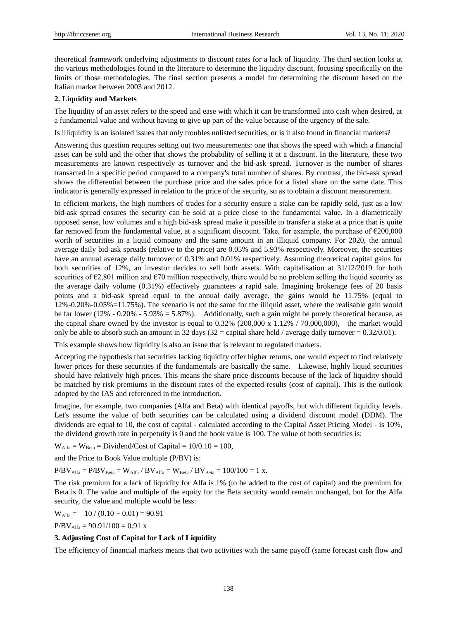theoretical framework underlying adjustments to discount rates for a lack of liquidity. The third section looks at the various methodologies found in the literature to determine the liquidity discount, focusing specifically on the limits of those methodologies. The final section presents a model for determining the discount based on the Italian market between 2003 and 2012.

## **2. Liquidity and Markets**

The liquidity of an asset refers to the speed and ease with which it can be transformed into cash when desired, at a fundamental value and without having to give up part of the value because of the urgency of the sale.

Is illiquidity is an isolated issues that only troubles unlisted securities, or is it also found in financial markets?

Answering this question requires setting out two measurements: one that shows the speed with which a financial asset can be sold and the other that shows the probability of selling it at a discount. In the literature, these two measurements are known respectively as turnover and the bid-ask spread. Turnover is the number of shares transacted in a specific period compared to a company's total number of shares. By contrast, the bid-ask spread shows the differential between the purchase price and the sales price for a listed share on the same date. This indicator is generally expressed in relation to the price of the security, so as to obtain a discount measurement.

In efficient markets, the high numbers of trades for a security ensure a stake can be rapidly sold, just as a low bid-ask spread ensures the security can be sold at a price close to the fundamental value. In a diametrically opposed sense, low volumes and a high bid-ask spread make it possible to transfer a stake at a price that is quite far removed from the fundamental value, at a significant discount. Take, for example, the purchase of  $\epsilon$ 200,000 worth of securities in a liquid company and the same amount in an illiquid company. For 2020, the annual average daily bid-ask spreads (relative to the price) are 0.05% and 5.93% respectively. Moreover, the securities have an annual average daily turnover of 0.31% and 0.01% respectively. Assuming theoretical capital gains for both securities of 12%, an investor decides to sell both assets. With capitalisation at 31/12/2019 for both securities of  $\epsilon$ 2,801 million and  $\epsilon$ 70 million respectively, there would be no problem selling the liquid security as the average daily volume (0.31%) effectively guarantees a rapid sale. Imagining brokerage fees of 20 basis points and a bid-ask spread equal to the annual daily average, the gains would be 11.75% (equal to 12%-0.20%-0.05%=11.75%). The scenario is not the same for the illiquid asset, where the realisable gain would be far lower (12% - 0.20% - 5.93% = 5.87%). Additionally, such a gain might be purely theoretical because, as the capital share owned by the investor is equal to 0.32% (200,000 x 1.12% / 70,000,000), the market would only be able to absorb such an amount in 32 days (32 = capital share held / average daily turnover =  $0.32/0.01$ ).

This example shows how liquidity is also an issue that is relevant to regulated markets.

Accepting the hypothesis that securities lacking liquidity offer higher returns, one would expect to find relatively lower prices for these securities if the fundamentals are basically the same. Likewise, highly liquid securities should have relatively high prices. This means the share price discounts because of the lack of liquidity should be matched by risk premiums in the discount rates of the expected results (cost of capital). This is the outlook adopted by the IAS and referenced in the introduction.

Imagine, for example, two companies (Alfa and Beta) with identical payoffs, but with different liquidity levels. Let's assume the value of both securities can be calculated using a dividend discount model (DDM). The dividends are equal to 10, the cost of capital - calculated according to the Capital Asset Pricing Model - is 10%, the dividend growth rate in perpetuity is 0 and the book value is 100. The value of both securities is:

 $W_{Alfa} = W_{Beta} = Dividend/Cost$  of Capital = 10/0.10 = 100,

and the Price to Book Value multiple (P/BV) is:

 $P/BV_{Alfa} = P/BV_{Beta} = W_{Alfa} / BV_{Alfa} = W_{Beta} / BV_{Beta} = 100/100 = 1$  x.

The risk premium for a lack of liquidity for Alfa is 1% (to be added to the cost of capital) and the premium for Beta is 0. The value and multiple of the equity for the Beta security would remain unchanged, but for the Alfa security, the value and multiple would be less:

 $W_{Alfa} = 10 / (0.10 + 0.01) = 90.91$ 

 $P/BV_{Alfa} = 90.91/100 = 0.91 \text{ x}$ 

## **3. Adjusting Cost of Capital for Lack of Liquidity**

The efficiency of financial markets means that two activities with the same payoff (same forecast cash flow and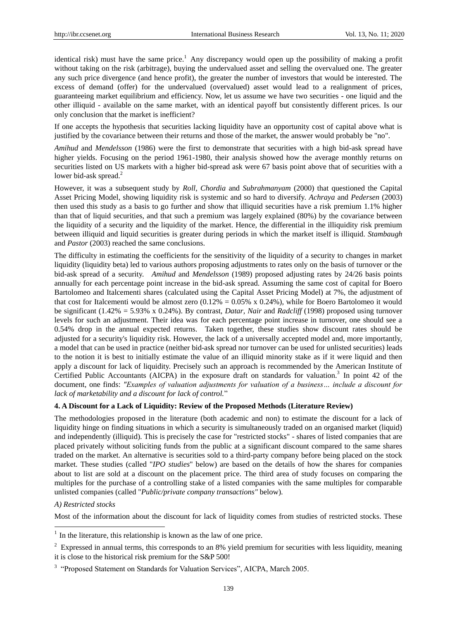identical risk) must have the same price.<sup>1</sup> Any discrepancy would open up the possibility of making a profit without taking on the risk (arbitrage), buying the undervalued asset and selling the overvalued one. The greater any such price divergence (and hence profit), the greater the number of investors that would be interested. The excess of demand (offer) for the undervalued (overvalued) asset would lead to a realignment of prices, guaranteeing market equilibrium and efficiency. Now, let us assume we have two securities - one liquid and the other illiquid - available on the same market, with an identical payoff but consistently different prices. Is our only conclusion that the market is inefficient?

If one accepts the hypothesis that securities lacking liquidity have an opportunity cost of capital above what is justified by the covariance between their returns and those of the market, the answer would probably be "no".

*Amihud* and *Mendelsson* (1986) were the first to demonstrate that securities with a high bid-ask spread have higher yields. Focusing on the period 1961-1980, their analysis showed how the average monthly returns on securities listed on US markets with a higher bid-spread ask were 67 basis point above that of securities with a lower bid-ask spread.<sup>2</sup>

However, it was a subsequent study by *Roll*, *Chordia* and *Subrahmanyam* (2000) that questioned the Capital Asset Pricing Model, showing liquidity risk is systemic and so hard to diversify. *Achraya* and *Pedersen* (2003) then used this study as a basis to go further and show that illiquid securities have a risk premium 1.1% higher than that of liquid securities, and that such a premium was largely explained (80%) by the covariance between the liquidity of a security and the liquidity of the market. Hence, the differential in the illiquidity risk premium between illiquid and liquid securities is greater during periods in which the market itself is illiquid. *Stambaugh* and *Pastor* (2003) reached the same conclusions.

The difficulty in estimating the coefficients for the sensitivity of the liquidity of a security to changes in market liquidity (liquidity beta) led to various authors proposing adjustments to rates only on the basis of turnover or the bid-ask spread of a security. *Amihud* and *Mendelsson* (1989) proposed adjusting rates by 24/26 basis points annually for each percentage point increase in the bid-ask spread. Assuming the same cost of capital for Boero Bartolomeo and Italcementi shares (calculated using the Capital Asset Pricing Model) at 7%, the adjustment of that cost for Italcementi would be almost zero  $(0.12\% = 0.05\% \times 0.24\%)$ , while for Boero Bartolomeo it would be significant (1.42% = 5.93% x 0.24%). By contrast, *Datar*, *Nair* and *Radcliff* (1998) proposed using turnover levels for such an adjustment. Their idea was for each percentage point increase in turnover, one should see a 0.54% drop in the annual expected returns. Taken together, these studies show discount rates should be adjusted for a security's liquidity risk. However, the lack of a universally accepted model and, more importantly, a model that can be used in practice (neither bid-ask spread nor turnover can be used for unlisted securities) leads to the notion it is best to initially estimate the value of an illiquid minority stake as if it were liquid and then apply a discount for lack of liquidity. Precisely such an approach is recommended by the American Institute of Certified Public Accountants (AICPA) in the exposure draft on standards for valuation.<sup>3</sup> In point 42 of the document, one finds: *"Examples of valuation adjustments for valuation of a business… include a discount for lack of marketability and a discount for lack of control.*"

## **4. A Discount for a Lack of Liquidity: Review of the Proposed Methods (Literature Review)**

The methodologies proposed in the literature (both academic and non) to estimate the discount for a lack of liquidity hinge on finding situations in which a security is simultaneously traded on an organised market (liquid) and independently (illiquid). This is precisely the case for "restricted stocks" - shares of listed companies that are placed privately without soliciting funds from the public at a significant discount compared to the same shares traded on the market. An alternative is securities sold to a third-party company before being placed on the stock market. These studies (called "*IPO studies*" below) are based on the details of how the shares for companies about to list are sold at a discount on the placement price. The third area of study focuses on comparing the multiples for the purchase of a controlling stake of a listed companies with the same multiples for comparable unlisted companies (called "*Public/private company transactions"* below).

## *A) Restricted stocks*

Most of the information about the discount for lack of liquidity comes from studies of restricted stocks. These

<sup>&</sup>lt;sup>1</sup> In the literature, this relationship is known as the law of one price.

<sup>&</sup>lt;sup>2</sup> Expressed in annual terms, this corresponds to an 8% yield premium for securities with less liquidity, meaning it is close to the historical risk premium for the S&P 500!

<sup>&</sup>lt;sup>3</sup> "Proposed Statement on Standards for Valuation Services", AICPA, March 2005.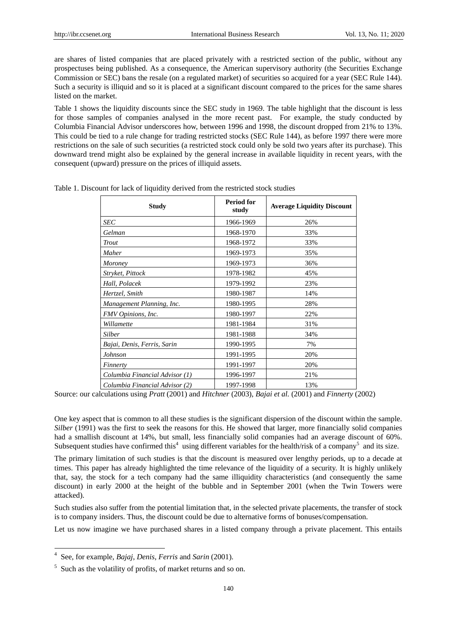are shares of listed companies that are placed privately with a restricted section of the public, without any prospectuses being published. As a consequence, the American supervisory authority (the Securities Exchange Commission or SEC) bans the resale (on a regulated market) of securities so acquired for a year (SEC Rule 144). Such a security is illiquid and so it is placed at a significant discount compared to the prices for the same shares listed on the market.

Table 1 shows the liquidity discounts since the SEC study in 1969. The table highlight that the discount is less for those samples of companies analysed in the more recent past. For example, the study conducted by Columbia Financial Advisor underscores how, between 1996 and 1998, the discount dropped from 21% to 13%. This could be tied to a rule change for trading restricted stocks (SEC Rule 144), as before 1997 there were more restrictions on the sale of such securities (a restricted stock could only be sold two years after its purchase). This downward trend might also be explained by the general increase in available liquidity in recent years, with the consequent (upward) pressure on the prices of illiquid assets.

| <b>Study</b>                   | <b>Period for</b><br>study | <b>Average Liquidity Discount</b> |
|--------------------------------|----------------------------|-----------------------------------|
| <b>SEC</b>                     | 1966-1969                  | 26%                               |
| Gelman                         | 1968-1970                  | 33%                               |
| Trout                          | 1968-1972                  | 33%                               |
| Maher                          | 1969-1973                  | 35%                               |
| Moroney                        | 1969-1973                  | 36%                               |
| Stryket, Pittock               | 1978-1982                  | 45%                               |
| Hall, Polacek                  | 1979-1992                  | 23%                               |
| Hertzel, Smith                 | 1980-1987                  | 14%                               |
| Management Planning, Inc.      | 1980-1995                  | 28%                               |
| FMV Opinions, Inc.             | 1980-1997                  | 22%                               |
| Willamette                     | 1981-1984                  | 31%                               |
| Silber                         | 1981-1988                  | 34%                               |
| Bajai, Denis, Ferris, Sarin    | 1990-1995                  | 7%                                |
| Johnson                        | 1991-1995                  | 20%                               |
| Finnerty                       | 1991-1997                  | 20%                               |
| Columbia Financial Advisor (1) | 1996-1997                  | 21%                               |
| Columbia Financial Advisor (2) | 1997-1998                  | 13%                               |

Table 1. Discount for lack of liquidity derived from the restricted stock studies

Source: our calculations using *Pratt* (2001) and *Hitchner* (2003), *Bajai et al.* (2001) and *Finnerty* (2002)

One key aspect that is common to all these studies is the significant dispersion of the discount within the sample. *Silber* (1991) was the first to seek the reasons for this. He showed that larger, more financially solid companies had a smallish discount at 14%, but small, less financially solid companies had an average discount of 60%. Subsequent studies have confirmed this<sup>4</sup> using different variables for the health/risk of a company<sup>5</sup> and its size.

The primary limitation of such studies is that the discount is measured over lengthy periods, up to a decade at times. This paper has already highlighted the time relevance of the liquidity of a security. It is highly unlikely that, say, the stock for a tech company had the same illiquidity characteristics (and consequently the same discount) in early 2000 at the height of the bubble and in September 2001 (when the Twin Towers were attacked).

Such studies also suffer from the potential limitation that, in the selected private placements, the transfer of stock is to company insiders. Thus, the discount could be due to alternative forms of bonuses/compensation.

Let us now imagine we have purchased shares in a listed company through a private placement. This entails

 4 See, for example, *Bajaj*, *Denis*, *Ferris* and *Sarin* (2001).

<sup>5</sup> Such as the volatility of profits, of market returns and so on.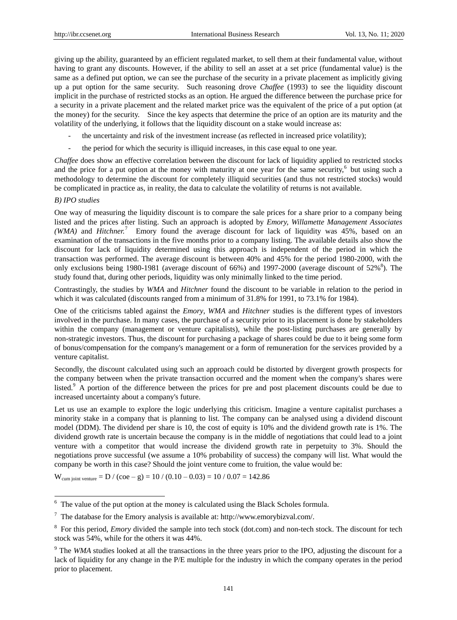giving up the ability, guaranteed by an efficient regulated market, to sell them at their fundamental value, without having to grant any discounts. However, if the ability to sell an asset at a set price (fundamental value) is the same as a defined put option, we can see the purchase of the security in a private placement as implicitly giving up a put option for the same security. Such reasoning drove *Chaffee* (1993) to see the liquidity discount implicit in the purchase of restricted stocks as an option. He argued the difference between the purchase price for a security in a private placement and the related market price was the equivalent of the price of a put option (at the money) for the security. Since the key aspects that determine the price of an option are its maturity and the volatility of the underlying, it follows that the liquidity discount on a stake would increase as:

- the uncertainty and risk of the investment increase (as reflected in increased price volatility);
- the period for which the security is illiquid increases, in this case equal to one year.

*Chaffee* does show an effective correlation between the discount for lack of liquidity applied to restricted stocks and the price for a put option at the money with maturity at one year for the same security,<sup>6</sup> but using such a methodology to determine the discount for completely illiquid securities (and thus not restricted stocks) would be complicated in practice as, in reality, the data to calculate the volatility of returns is not available.

## *B) IPO studies*

-

One way of measuring the liquidity discount is to compare the sale prices for a share prior to a company being listed and the prices after listing. Such an approach is adopted by *Emory, Willamette Management Associates*  (WMA) and *Hitchner.*<sup>7</sup> Emory found the average discount for lack of liquidity was 45%, based on an examination of the transactions in the five months prior to a company listing. The available details also show the discount for lack of liquidity determined using this approach is independent of the period in which the transaction was performed. The average discount is between 40% and 45% for the period 1980-2000, with the only exclusions being 1980-1981 (average discount of  $66\%$ ) and 1997-2000 (average discount of  $52\%$ <sup>8</sup>). The study found that, during other periods, liquidity was only minimally linked to the time period.

Contrastingly, the studies by *WMA* and *Hitchner* found the discount to be variable in relation to the period in which it was calculated (discounts ranged from a minimum of 31.8% for 1991, to 73.1% for 1984).

One of the criticisms tabled against the *Emory*, *WMA* and *Hitchner* studies is the different types of investors involved in the purchase. In many cases, the purchase of a security prior to its placement is done by stakeholders within the company (management or venture capitalists), while the post-listing purchases are generally by non-strategic investors. Thus, the discount for purchasing a package of shares could be due to it being some form of bonus/compensation for the company's management or a form of remuneration for the services provided by a venture capitalist.

Secondly, the discount calculated using such an approach could be distorted by divergent growth prospects for the company between when the private transaction occurred and the moment when the company's shares were listed.<sup>9</sup> A portion of the difference between the prices for pre and post placement discounts could be due to increased uncertainty about a company's future.

Let us use an example to explore the logic underlying this criticism. Imagine a venture capitalist purchases a minority stake in a company that is planning to list. The company can be analysed using a dividend discount model (DDM). The dividend per share is 10, the cost of equity is 10% and the dividend growth rate is 1%. The dividend growth rate is uncertain because the company is in the middle of negotiations that could lead to a joint venture with a competitor that would increase the dividend growth rate in perpetuity to 3%. Should the negotiations prove successful (we assume a 10% probability of success) the company will list. What would the company be worth in this case? Should the joint venture come to fruition, the value would be:

 $W_{\text{cum joint venture}} = D / (coe - g) = 10 / (0.10 - 0.03) = 10 / 0.07 = 142.86$ 

<sup>6</sup> The value of the put option at the money is calculated using the Black Scholes formula.

 $^7$  The database for the Emory analysis is available at[: http://www.emorybizval.com/.](http://www.emorybizval.com/)

<sup>&</sup>lt;sup>8</sup> For this period, *Emory* divided the sample into tech stock (dot.com) and non-tech stock. The discount for tech stock was 54%, while for the others it was 44%.

<sup>&</sup>lt;sup>9</sup> The *WMA* studies looked at all the transactions in the three years prior to the IPO, adjusting the discount for a lack of liquidity for any change in the P/E multiple for the industry in which the company operates in the period prior to placement.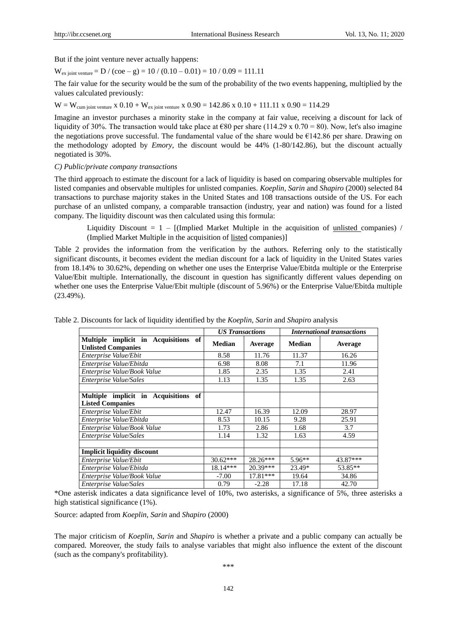But if the joint venture never actually happens:

 $W_{\text{ex joint venture}} = D / ( \text{coe} - g ) = 10 / (0.10 - 0.01) = 10 / 0.09 = 111.11$ 

The fair value for the security would be the sum of the probability of the two events happening, multiplied by the values calculated previously:

 $W = W_{cum\;iont\;venture}$  x 0.10 +  $W_{ex\;iont\;venture}$  x 0.90 = 142.86 x 0.10 + 111.11 x 0.90 = 114.29

Imagine an investor purchases a minority stake in the company at fair value, receiving a discount for lack of liquidity of 30%. The transaction would take place at  $\epsilon$ 80 per share (114.29 x 0.70 = 80). Now, let's also imagine the negotiations prove successful. The fundamental value of the share would be  $\epsilon$ 142.86 per share. Drawing on the methodology adopted by *Emory*, the discount would be 44% (1-80/142.86), but the discount actually negotiated is 30%.

*C) Public/private company transactions*

The third approach to estimate the discount for a lack of liquidity is based on comparing observable multiples for listed companies and observable multiples for unlisted companies. *Koeplin*, *Sarin* and *Shapiro* (2000) selected 84 transactions to purchase majority stakes in the United States and 108 transactions outside of the US. For each purchase of an unlisted company, a comparable transaction (industry, year and nation) was found for a listed company. The liquidity discount was then calculated using this formula:

Liquidity Discount  $= 1 -$  [(Implied Market Multiple in the acquisition of unlisted companies) / (Implied Market Multiple in the acquisition of listed companies)]

Table 2 provides the information from the verification by the authors. Referring only to the statistically significant discounts, it becomes evident the median discount for a lack of liquidity in the United States varies from 18.14% to 30.62%, depending on whether one uses the Enterprise Value/Ebitda multiple or the Enterprise Value/Ebit multiple. Internationally, the discount in question has significantly different values depending on whether one uses the Enterprise Value/Ebit multiple (discount of 5.96%) or the Enterprise Value/Ebitda multiple (23.49%).

|                                                                   | <b>US Transactions</b> |            | <b>International transactions</b> |          |  |  |
|-------------------------------------------------------------------|------------------------|------------|-----------------------------------|----------|--|--|
| Multiple implicit in Acquisitions of<br><b>Unlisted Companies</b> | <b>Median</b>          | Average    | <b>Median</b>                     | Average  |  |  |
| Enterprise Value/Ebit                                             | 8.58                   | 11.76      | 11.37                             | 16.26    |  |  |
| Enterprise Value/Ebitda                                           | 6.98                   | 8.08       | 7.1                               | 11.96    |  |  |
| Enterprise Value/Book Value                                       | 1.85                   | 2.35       | 1.35                              | 2.41     |  |  |
| Enterprise Value/Sales                                            | 1.13                   | 1.35       | 1.35                              | 2.63     |  |  |
|                                                                   |                        |            |                                   |          |  |  |
| Multiple implicit in Acquisitions of                              |                        |            |                                   |          |  |  |
| <b>Listed Companies</b>                                           |                        |            |                                   |          |  |  |
| Enterprise Value/Ebit                                             | 12.47                  | 16.39      | 12.09                             | 28.97    |  |  |
| Enterprise Value/Ebitda                                           | 8.53                   | 10.15      | 9.28                              | 25.91    |  |  |
| Enterprise Value/Book Value                                       | 1.73                   | 2.86       | 1.68                              | 3.7      |  |  |
| Enterprise Value/Sales                                            | 1.14                   | 1.32       | 1.63                              | 4.59     |  |  |
|                                                                   |                        |            |                                   |          |  |  |
| <b>Implicit liquidity discount</b>                                |                        |            |                                   |          |  |  |
| Enterprise Value/Ebit                                             | $30.62***$             | $28.26***$ | $5.96**$                          | 43.87*** |  |  |
| Enterprise Value/Ebitda                                           | $18.14***$             | $20.39***$ | 23.49*                            | 53.85**  |  |  |
| Enterprise Value/Book Value                                       | $-7.00$                | 17.81***   | 19.64                             | 34.86    |  |  |
| Enterprise Value/Sales                                            | 0.79                   | $-2.28$    | 17.18                             | 42.70    |  |  |

Table 2. Discounts for lack of liquidity identified by the *Koeplin*, *Sarin* and *Shapiro* analysis

\*One asterisk indicates a data significance level of 10%, two asterisks, a significance of 5%, three asterisks a high statistical significance (1%).

Source: adapted from *Koeplin*, *Sarin* and *Shapiro* (2000)

The major criticism of *Koeplin*, *Sarin* and *Shapiro* is whether a private and a public company can actually be compared. Moreover, the study fails to analyse variables that might also influence the extent of the discount (such as the company's profitability).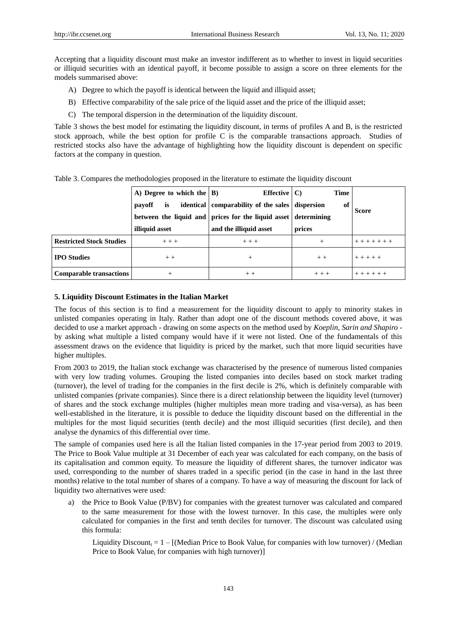Accepting that a liquidity discount must make an investor indifferent as to whether to invest in liquid securities or illiquid securities with an identical payoff, it become possible to assign a score on three elements for the models summarised above:

- A) Degree to which the payoff is identical between the liquid and illiquid asset;
- B) Effective comparability of the sale price of the liquid asset and the price of the illiquid asset;
- C) The temporal dispersion in the determination of the liquidity discount.

Table 3 shows the best model for estimating the liquidity discount, in terms of profiles A and B, is the restricted stock approach, while the best option for profile C is the comparable transactions approach. Studies of restricted stocks also have the advantage of highlighting how the liquidity discount is dependent on specific factors at the company in question.

|                                 | A) Degree to which the $ B $<br>is<br>payoff<br>illiquid asset | Effective $ C\rangle$<br>identical   comparability of the sales   dispersion<br>between the liquid and prices for the liquid asset determining<br>and the illiquid asset | <b>Time</b><br>оf<br>prices | <b>Score</b> |
|---------------------------------|----------------------------------------------------------------|--------------------------------------------------------------------------------------------------------------------------------------------------------------------------|-----------------------------|--------------|
| <b>Restricted Stock Studies</b> | $+ + +$                                                        | $+ + +$                                                                                                                                                                  | $^{+}$                      |              |
| <b>IPO</b> Studies              | $+ +$                                                          | $^{+}$                                                                                                                                                                   | $++$                        | $+ + + + +$  |
| <b>Comparable transactions</b>  | $^{+}$                                                         | $++$                                                                                                                                                                     | $+ + +$                     |              |

Table 3. Compares the methodologies proposed in the literature to estimate the liquidity discount

## **5. Liquidity Discount Estimates in the Italian Market**

The focus of this section is to find a measurement for the liquidity discount to apply to minority stakes in unlisted companies operating in Italy. Rather than adopt one of the discount methods covered above, it was decided to use a market approach - drawing on some aspects on the method used by *Koeplin, Sarin and Shapiro* by asking what multiple a listed company would have if it were not listed. One of the fundamentals of this assessment draws on the evidence that liquidity is priced by the market, such that more liquid securities have higher multiples.

From 2003 to 2019, the Italian stock exchange was characterised by the presence of numerous listed companies with very low trading volumes. Grouping the listed companies into deciles based on stock market trading (turnover), the level of trading for the companies in the first decile is 2%, which is definitely comparable with unlisted companies (private companies). Since there is a direct relationship between the liquidity level (turnover) of shares and the stock exchange multiples (higher multiples mean more trading and visa-versa), as has been well-established in the literature, it is possible to deduce the liquidity discount based on the differential in the multiples for the most liquid securities (tenth decile) and the most illiquid securities (first decile), and then analyse the dynamics of this differential over time.

The sample of companies used here is all the Italian listed companies in the 17-year period from 2003 to 2019. The Price to Book Value multiple at 31 December of each year was calculated for each company, on the basis of its capitalisation and common equity. To measure the liquidity of different shares, the turnover indicator was used, corresponding to the number of shares traded in a specific period (in the case in hand in the last three months) relative to the total number of shares of a company. To have a way of measuring the discount for lack of liquidity two alternatives were used:

a) the Price to Book Value (P/BV) for companies with the greatest turnover was calculated and compared to the same measurement for those with the lowest turnover. In this case, the multiples were only calculated for companies in the first and tenth deciles for turnover. The discount was calculated using this formula:

Liquidity Discount<sub>t</sub> = 1 – [(Median Price to Book Value<sub>t</sub> for companies with low turnover) / (Median Price to Book Value<sub>t</sub> for companies with high turnover)]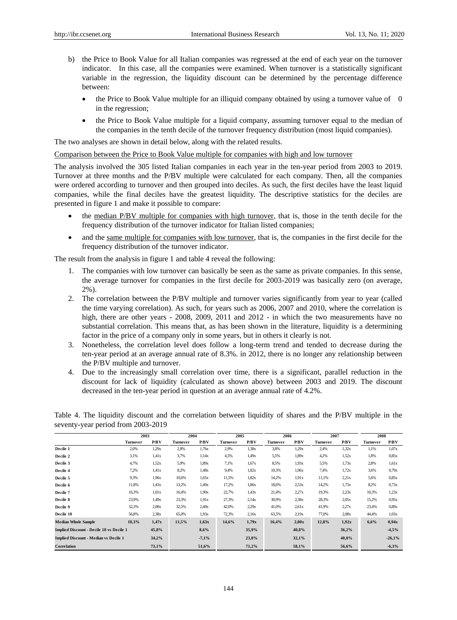- b) the Price to Book Value for all Italian companies was regressed at the end of each year on the turnover indicator. In this case, all the companies were examined. When turnover is a statistically significant variable in the regression, the liquidity discount can be determined by the percentage difference between:
	- $\bullet$  the Price to Book Value multiple for an illiquid company obtained by using a turnover value of 0 in the regression;
	- the Price to Book Value multiple for a liquid company, assuming turnover equal to the median of the companies in the tenth decile of the turnover frequency distribution (most liquid companies).

The two analyses are shown in detail below, along with the related results.

### Comparison between the Price to Book Value multiple for companies with high and low turnover

The analysis involved the 305 listed Italian companies in each year in the ten-year period from 2003 to 2019. Turnover at three months and the P/BV multiple were calculated for each company. Then, all the companies were ordered according to turnover and then grouped into deciles. As such, the first deciles have the least liquid companies, while the final deciles have the greatest liquidity. The descriptive statistics for the deciles are presented in figure 1 and make it possible to compare:

- the median P/BV multiple for companies with high turnover, that is, those in the tenth decile for the frequency distribution of the turnover indicator for Italian listed companies;
- and the same multiple for companies with low turnover, that is, the companies in the first decile for the frequency distribution of the turnover indicator.

The result from the analysis in figure 1 and table 4 reveal the following:

- 1. The companies with low turnover can basically be seen as the same as private companies. In this sense, the average turnover for companies in the first decile for 2003-2019 was basically zero (on average, 2%).
- 2. The correlation between the P/BV multiple and turnover varies significantly from year to year (called the time varying correlation). As such, for years such as 2006, 2007 and 2010, where the correlation is high, there are other years - 2008, 2009, 2011 and 2012 - in which the two measurements have no substantial correlation. This means that, as has been shown in the literature, liquidity is a determining factor in the price of a company only in some years, but in others it clearly is not.
- 3. Nonetheless, the correlation level does follow a long-term trend and tended to decrease during the ten-year period at an average annual rate of 8.3%. in 2012, there is no longer any relationship between the P/BV multiple and turnover.
- 4. Due to the increasingly small correlation over time, there is a significant, parallel reduction in the discount for lack of liquidity (calculated as shown above) between 2003 and 2019. The discount decreased in the ten-year period in question at an average annual rate of 4.2%.

|                                                 | 2003     |       | 2004     |         | 2005     |       | 2006     |       | 2007     |       | 2008     |          |
|-------------------------------------------------|----------|-------|----------|---------|----------|-------|----------|-------|----------|-------|----------|----------|
|                                                 | Turnover | P/BV  | Turnover | P/BV    | Turnover | P/BV  | Turnover | P/BV  | Turnover | P/BV  | Turnover | P/BV     |
| Decile 1                                        | 2,0%     | 1,29x | 2,8%     | 1,76x   | 2.9%     | 1.38x | 3,8%     | 1,29x | 2,4%     | 1.32x | 1,1%     | 1.07x    |
| Decile 2                                        | 3,1%     | 1.41x | 3,7%     | 1,14x   | 4,5%     | 1,49x | 5.5%     | 1,89x | 4.2%     | 1.52x | 1,8%     | 0.85x    |
| Decile 3                                        | 4,7%     | 1.52x | 5.9%     | 1,89x   | 7,1%     | 1,67x | 8.5%     | 1.93x | 5.5%     | 1,73x | 2,8%     | 1.61x    |
| Decile 4                                        | 7.2%     | 1.41x | 8,2%     | 1,48x   | 9,4%     | 1,82x | 10,3%    | 1.96x | 7,4%     | 1,72x | 3,6%     | 0.79x    |
| Decile 5                                        | 9.3%     | 1,96x | 10,6%    | 1,65x   | 11.5%    | 1,82x | 14,2%    | 1.91x | 11,1%    | 2.21x | 5,6%     | 0.85x    |
| Decile 6                                        | 11,8%    | 1.43x | 13,2%    | 1,49x   | 17,2%    | 1,86x | 18,6%    | 2.53x | 14,2%    | 1,73x | 8,2%     | 0.73x    |
| Decile 7                                        | 16,3%    | 1,01x | 16,4%    | 1.90x   | 22,7%    | 1.43x | 21,4%    | 2,27x | 19,3%    | 2.23x | 10,3%    | 1.23x    |
| Decile 8                                        | 23.9%    | 1,49x | 23.3%    | 1.91x   | 27,3%    | 2,14x | 30,9%    | 2,38x | 28,3%    | 2,05x | 15,2%    | 0.95x    |
| Decile 9                                        | 32,3%    | 2,08x | 32.5%    | 2,40x   | 42,0%    | 2.29x | 41,0%    | 2.61x | 41,9%    | 2.27x | 23,4%    | 0.89x    |
| Decile 10                                       | 56,8%    | 2.38x | 65,0%    | 1.93x   | 72,3%    | 2,16x | 63,5%    | 2,19x | 77,0%    | 2,08x | 44,4%    | 1,03x    |
| <b>Median Whole Sample</b>                      | 10,3%    | 1,47x | 11,5%    | 1,63x   | 14,6%    | 1,79x | 16,4%    | 2,00x | 12,8%    | 1,92x | 6,6%     | 0.94x    |
| <b>Implied Discount - Decile 10 vs Decile 1</b> |          | 45,8% |          | 8,6%    |          | 35,9% |          | 40,8% |          | 36,2% |          | $-4,5%$  |
| <b>Implied Discount - Median vs Decile 1</b>    |          | 34,2% |          | $-7,1%$ |          | 23,8% |          | 32,1% |          | 40,0% |          | $-26,1%$ |
| Correlation                                     |          | 73,1% |          | 51.6%   |          | 71,2% |          | 58,1% |          | 56,6% |          | $-6,3%$  |

Table 4. The liquidity discount and the correlation between liquidity of shares and the P/BV multiple in the seventy-year period from 2003-2019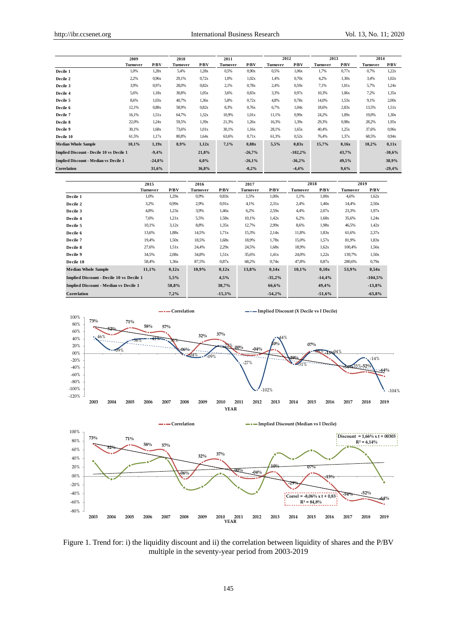|                                                 | 2009     | 2010     |          |         | 2011     |          | 2012     |           | 2013     |       |          | 2014     |  |
|-------------------------------------------------|----------|----------|----------|---------|----------|----------|----------|-----------|----------|-------|----------|----------|--|
|                                                 | Turnover | P/BV     | Turnover | P/BV    | Turnover | P/BV     | Turnover | P/BV      | Turnover | P/BV  | Turnover | P/BV     |  |
| Decile 1                                        | 1,0%     | 1,28x    | 5,4%     | 1,28x   | 0.5%     | 0.90x    | 0.5%     | 1,06x     | 1,7%     | 0.77x | 0,7%     | 1,22x    |  |
| Decile 2                                        | 2,2%     | 0.96x    | 29,1%    | 0.72x   | 1,0%     | 1,02x    | 1,4%     | 0,70x     | 4.2%     | 1.30x | 3,4%     | 1,02x    |  |
| Decile 3                                        | 3.9%     | 0.97x    | 28,0%    | 0.82x   | 2,1%     | 0.78x    | 2,4%     | 0.59x     | 7,1%     | 1,01x | 5,7%     | 1,24x    |  |
| Decile 4                                        | 5,6%     | 1,18x    | 30,8%    | 1,05x   | 3,6%     | 0.83x    | 3.3%     | 0.97x     | 10,3%    | 1,06x | 7,2%     | 1.35x    |  |
| Decile 5                                        | 8,6%     | 1,03x    | 40,7%    | 1,36x   | 5,8%     | 0.72x    | 4,8%     | 0.78x     | 14,0%    | 1.53x | 9,1%     | 2,00x    |  |
| Decile 6                                        | 12,1%    | 0.88x    | 58.9%    | 0.82x   | 8.3%     | 0.76x    | 6,7%     | 1,04x     | 18,6%    | 2,83x | 13,5%    | 1.51x    |  |
| Decile 7                                        | 16,1%    | 1.51x    | 64,7%    | 1.32x   | 10,9%    | 1,01x    | 11,1%    | 0.99x     | 24,2%    | 1,09x | 19,0%    | 1.30x    |  |
| Decile 8                                        | 22,0%    | 1,24x    | 59.5%    | 1.39x   | 21,3%    | 1,26x    | 16,3%    | 1.39x     | 29,3%    | 0.98x | 28,2%    | 1.95x    |  |
| Decile 9                                        | 30,1%    | 1,68x    | 73,6%    | 1,01x   | 30,1%    | 1,16x    | 28,1%    | 1,65x     | 40.4%    | 1,25x | 37,6%    | 0.96x    |  |
| Decile 10                                       | 61.5%    | 1,17x    | 80,8%    | 1,64x   | 63,6%    | 0.71x    | 61,3%    | 0.52x     | 76,4%    | 1,37x | 68,5%    | 0.94x    |  |
| <b>Median Whole Sample</b>                      | 10,1%    | 1,19x    | 8,9%     | 1,12x   | 7,1%     | 0.88x    | 5,5%     | 0.83x     | 15,7%    | 0.16x | 10,2%    | 0,11x    |  |
| <b>Implied Discount - Decile 10 vs Decile 1</b> |          | $-9,4%$  |          | 21,8%   |          | $-26,7%$ |          | $-102,2%$ |          | 43,7% |          | $-30,6%$ |  |
| <b>Implied Discount - Median vs Decile 1</b>    |          | $-24,0%$ |          | $6.0\%$ |          | $-26,1%$ |          | $-36,2%$  |          | 49,5% |          | 38,9%    |  |
| Correlation                                     |          | 31,6%    |          | 36,8%   |          | $-0.2%$  |          | $-4,4%$   |          | 9,6%  |          | $-29,4%$ |  |

|                                                 | 2015            |       | 2017<br>2016    |          | 2018            |          | 2019            |          |          |           |
|-------------------------------------------------|-----------------|-------|-----------------|----------|-----------------|----------|-----------------|----------|----------|-----------|
|                                                 | <b>Turnover</b> | P/BV  | <b>Turnover</b> | P/BV     | <b>Turnover</b> | P/BV     | <b>Turnover</b> | P/BV     | Turnover | P/BV      |
| Decile 1                                        | 1,0%            | 1,29x | 0,9%            | 0.83x    | 1.5%            | 1,00x    | 1,1%            | 1,00x    | 4,6%     | 1,62x     |
| Decile 2                                        | 3,2%            | 0.99x | 2,9%            | 0.91x    | 4,1%            | 2.31x    | 2,4%            | 1,40x    | 14,4%    | 2.50x     |
| Decile 3                                        | 4,8%            | 1,23x | 3,9%            | 1,46x    | 6,2%            | 2.59x    | 4,4%            | 2.07x    | 23,3%    | 1.97x     |
| Decile 4                                        | 7,6%            | 1,21x | 5,5%            | 1.58x    | 10,1%           | 1.42x    | 6,2%            | 1,68x    | 35,6%    | 1,24x     |
| Decile 5                                        | 10.1%           | 3,12x | 8,8%            | 1.35x    | 12,7%           | 2.99x    | 8,6%            | 1.98x    | 46,5%    | 1.42x     |
| Decile 6                                        | 13,6%           | 1,88x | 14,5%           | 1,71x    | 15,3%           | 2,14x    | 11,8%           | 1,83x    | 61,6%    | 2.37x     |
| Decile 7                                        | 19.4%           | 1,50x | 18,5%           | 1,68x    | 18,9%           | 1,78x    | 15,0%           | 1.57x    | 81,9%    | 1.83x     |
| Decile 8                                        | 27,6%           | 1.51x | 24,4%           | 2.29x    | 24,5%           | 1,68x    | 18,9%           | 1,62x    | 100,4%   | 1.56x     |
| Decile 9                                        | 34.5%           | 2,08x | 34,8%           | 1.51x    | 35,6%           | 1.41x    | 24,0%           | 1,22x    | 139,7%   | 1.50x     |
| Decile 10                                       | 58,4%           | 1,36x | 87,5%           | 0.87x    | 68,2%           | 0.74x    | 47,8%           | 0.87x    | 280,6%   | 0.79x     |
| <b>Median Whole Sample</b>                      | 11,1%           | 0,12x | 10,9%           | 0,12x    | 13,8%           | 0,14x    | 10,1%           | 0,10x    | 53,9%    | 0,54x     |
| <b>Implied Discount - Decile 10 vs Decile 1</b> |                 | 5,5%  |                 | 4,5%     |                 | $-35,2%$ |                 | $-14,4%$ |          | $-104,5%$ |
| <b>Implied Discount - Median vs Decile 1</b>    |                 | 58,8% |                 | 38,7%    |                 | 66,6%    |                 | 49,4%    |          | $-13,8%$  |
| Correlation                                     |                 | 7,2%  |                 | $-15,3%$ |                 | $-54,2%$ |                 | $-51,6%$ |          | $-63,8%$  |





Figure 1. Trend for: i) the liquidity discount and ii) the correlation between liquidity of shares and the P/BV multiple in the seventy-year period from 2003-2019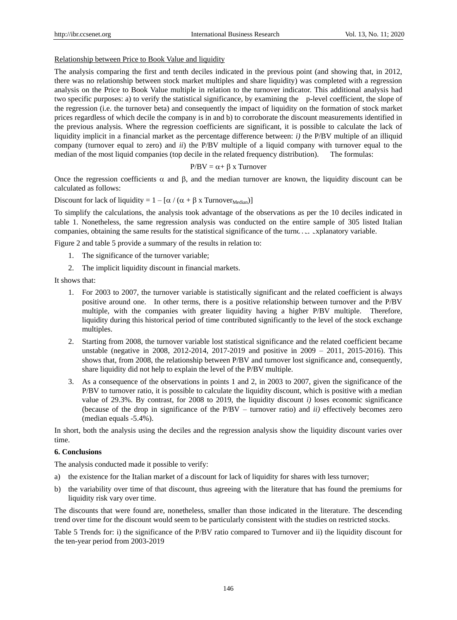## Relationship between Price to Book Value and liquidity

The analysis comparing the first and tenth deciles indicated in the previous point (and showing that, in 2012, there was no relationship between stock market multiples and share liquidity) was completed with a regression analysis on the Price to Book Value multiple in relation to the turnover indicator. This additional analysis had two specific purposes: a) to verify the statistical significance, by examining the p-level coefficient, the slope of the regression (i.e. the turnover beta) and consequently the impact of liquidity on the formation of stock market prices regardless of which decile the company is in and b) to corroborate the discount measurements identified in the previous analysis. Where the regression coefficients are significant, it is possible to calculate the lack of liquidity implicit in a financial market as the percentage difference between: *i)* the P/BV multiple of an illiquid company (turnover equal to zero) and *ii*) the P/BV multiple of a liquid company with turnover equal to the median of the most liquid companies (top decile in the related frequency distribution). The formulas:

$$
P/BV = \alpha + \beta x \; Turnover
$$

Once the regression coefficients  $\alpha$  and  $\beta$ , and the median turnover are known, the liquidity discount can be calculated as follows:

Discount for lack of liquidity =  $1 - [\alpha / (\alpha + \beta \times \text{Turnover}_{\text{Median}})]$ 

To simplify the calculations, the analysis took advantage of the observations as per the 10 deciles indicated in table 1. Nonetheless, the same regression analysis was conducted on the entire sample of 305 listed Italian companies, obtaining the same results for the statistical significance of the turnover explanatory variable.

Figure 2 and table 5 provide a summary of the results in relation to:

- 1. The significance of the turnover variable;
- 2. The implicit liquidity discount in financial markets.

It shows that:

- 1. For 2003 to 2007, the turnover variable is statistically significant and the related coefficient is always positive around one. In other terms, there is a positive relationship between turnover and the P/BV multiple, with the companies with greater liquidity having a higher P/BV multiple. Therefore, liquidity during this historical period of time contributed significantly to the level of the stock exchange multiples.
- 2. Starting from 2008, the turnover variable lost statistical significance and the related coefficient became unstable (negative in 2008, 2012-2014, 2017-2019 and positive in 2009 – 2011, 2015-2016). This shows that, from 2008, the relationship between P/BV and turnover lost significance and, consequently, share liquidity did not help to explain the level of the P/BV multiple.
- 3. As a consequence of the observations in points 1 and 2, in 2003 to 2007, given the significance of the P/BV to turnover ratio, it is possible to calculate the liquidity discount, which is positive with a median value of 29.3%. By contrast, for 2008 to 2019, the liquidity discount *i)* loses economic significance (because of the drop in significance of the P/BV – turnover ratio) and *ii)* effectively becomes zero (median equals -5.4%).

In short, both the analysis using the deciles and the regression analysis show the liquidity discount varies over time.

## **6. Conclusions**

The analysis conducted made it possible to verify:

- a) the existence for the Italian market of a discount for lack of liquidity for shares with less turnover;
- b) the variability over time of that discount, thus agreeing with the literature that has found the premiums for liquidity risk vary over time.

The discounts that were found are, nonetheless, smaller than those indicated in the literature. The descending trend over time for the discount would seem to be particularly consistent with the studies on restricted stocks.

Table 5 Trends for: i) the significance of the P/BV ratio compared to Turnover and ii) the liquidity discount for the ten-year period from 2003-2019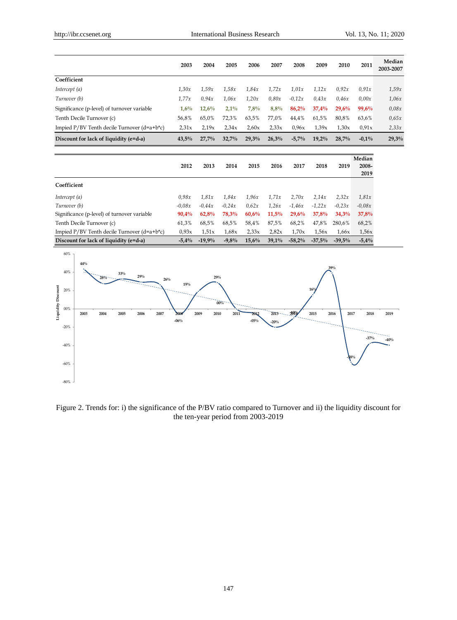|                                                 | 2003    | 2004  | 2005    | 2006  | 2007  | 2008     | 2009     | 2010  | 2011     | Median<br>2003-2007 |
|-------------------------------------------------|---------|-------|---------|-------|-------|----------|----------|-------|----------|---------------------|
| Coefficient                                     |         |       |         |       |       |          |          |       |          |                     |
| Intercept (a)                                   | 1.30x   | 1,59x | 1.58x   | 1.84x | 1.72x | 1.01x    | 1.12x    | 0.92x | 0.91x    | 1.59x               |
| Turnover (b)                                    | 1.77x   | 0.94x | 1.06x   | 1.20x | 0.80x | $-0.12x$ | 0.43x    | 0.46x | 0.00x    | 1.06x               |
| Significance (p-level) of turnover variable     | $1.6\%$ | 12,6% | $2.1\%$ | 7,8%  | 8,8%  | 86,2%    | 37,4%    | 29,6% | 99,6%    | 0.08x               |
| Tenth Decile Turnover (c)                       | 56,8%   | 65,0% | 72.3%   | 63,5% | 77.0% | 44,4%    | 61,5%    | 80,8% | 63,6%    | 0.65x               |
| Impied $P/BV$ Tenth decile Turnover $(d=a+b*c)$ | 2.31x   | 2.19x | 2.34x   | 2.60x | 2.33x | 0.96x    | 1,39x    | 1.30x | 0.91x    | 2,33x               |
| Discount for lack of liquidity (e=d-a)          | 43.5%   | 27.7% | 32.7%   | 29,3% | 26,3% | $-5.7%$  | $19,2\%$ | 28.7% | $-0.1\%$ | 29,3%               |

|                                                 | 2012     | 2013     | 2014     | 2015  | 2016     | 2017      | 2018      | 2019     | Median<br>2008-<br>2019 |
|-------------------------------------------------|----------|----------|----------|-------|----------|-----------|-----------|----------|-------------------------|
| Coefficient                                     |          |          |          |       |          |           |           |          |                         |
| Intercept (a)                                   | 0.98x    | 1.81x    | 1.84x    | 1.96x | 1.71x    | 2.70x     | 2.14x     | 2,32x    | 1.81x                   |
| Turnover (b)                                    | $-0.08x$ | $-0.44x$ | $-0.24x$ | 0.62x | 1,26x    | $-1.46x$  | $-1,22x$  | $-0.23x$ | $-0.08x$                |
| Significance (p-level) of turnover variable     | $90.4\%$ | 62,8%    | 78,3%    | 60,6% | 11,5%    | 29.6%     | 37,8%     | 34,3%    | 37,8%                   |
| Tenth Decile Turnover (c)                       | 61.3%    | 68,5%    | 68,5%    | 58,4% | 87,5%    | 68,2%     | 47,8%     | 280.6%   | 68,2%                   |
| Impied $P/BV$ Tenth decile Turnover $(d=a+b*c)$ | 0.93x    | 1.51x    | 1,68x    | 2.33x | 2,82x    | 1.70x     | 1.56x     | 1,66x    | 1,56x                   |
| Discount for lack of liquidity (e=d-a)          | $-5.4\%$ | $-19.9%$ | $-9.8\%$ | 15,6% | $39,1\%$ | $-58.2\%$ | $-37.5\%$ | $-39.5%$ | $-5.4%$                 |



Figure 2. Trends for: i) the significance of the P/BV ratio compared to Turnover and ii) the liquidity discount for the ten-year period from 2003-2019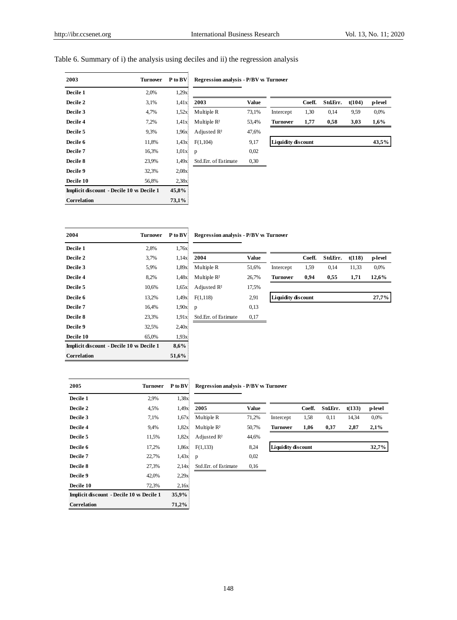## Table 6. Summary of i) the analysis using deciles and ii) the regression analysis

| 2003                                             | <b>Turnover</b> | P to BV | <b>Regression analysis - P/BV</b> |       |  |  |
|--------------------------------------------------|-----------------|---------|-----------------------------------|-------|--|--|
| Decile 1                                         | 2,0%            | 1.29x   |                                   |       |  |  |
| Decile 2                                         | 3,1%            | 1.41x   | 2003                              | Valu  |  |  |
| Decile 3                                         | 4,7%            | 1.52x   | Multiple R                        | 73,1% |  |  |
| Decile 4                                         | 7,2%            | 1.41x   | Multiple $R^2$                    | 53,4% |  |  |
| Decile 5                                         | 9,3%            | 1.96x   | Adjusted $R^2$                    | 47,6% |  |  |
| Decile 6                                         | 11,8%           | 1.43x   | F(1,104)                          | 9,17  |  |  |
| Decile 7                                         | 16,3%           | 1.01x   | p                                 | 0,02  |  |  |
| Decile 8                                         | 23,9%           | 1.49x   | Std.Err. of Estimate              | 0,30  |  |  |
| Decile 9                                         | 32,3%           | 2,08x   |                                   |       |  |  |
| Decile 10                                        | 56,8%           | 2.38x   |                                   |       |  |  |
| <b>Implicit discount - Decile 10 vs Decile 1</b> |                 | 45,8%   |                                   |       |  |  |
| Correlation                                      |                 | 73,1%   |                                   |       |  |  |

Adjusted R $\frac{2}{3}$ **Std.Err. of Estimate** 0,30

**Regression analysis - P/BV vs Turnover** 

| рссис 1         | 2.070 | 1.47 <sub>M</sub> |                         |       |                           |        |          |        |         |
|-----------------|-------|-------------------|-------------------------|-------|---------------------------|--------|----------|--------|---------|
| <b>Decile 2</b> | 3,1%  | 1.41x             | 2003                    | Value |                           | Coeff. | Std.Err. | t(104) | p-level |
| <b>Decile 3</b> | 4,7%  | 1.52x             | Multiple R              | 73,1% | Intercept                 | 1,30   | 0,14     | 9,59   | 0,0%    |
| <b>Decile 4</b> | 7,2%  | 1.41x             | Multiple $\mathbb{R}^2$ | 53,4% | <b>Turnover</b>           | 1.77   | 0.58     | 3.03   | $1.6\%$ |
| <b>Decile 5</b> | 9,3%  | 1.96x)            | Adjusted $\mathbb{R}^2$ | 47,6% |                           |        |          |        |         |
| <b>Decile 6</b> | 11.8% | 1.43x             | F(1,104)                | 9,17  | <b>Liquidity discount</b> |        |          |        | 43.5%   |
| <b>Decile 7</b> | 16.3% | 1.01x             | $\mathbf{D}$            | 0.02  |                           |        |          |        |         |

| 2004                                             | <b>Turnover</b> | P to BV | <b>Regression analysis - P/BV</b> |       |
|--------------------------------------------------|-----------------|---------|-----------------------------------|-------|
| Decile 1                                         | 2,8%            | 1,76x   |                                   |       |
| Decile 2                                         | 3,7%            | 1.14x   | 2004                              | Valu  |
| Decile 3                                         | 5,9%            | 1.89x   | Multiple R                        | 51,6% |
| Decile 4                                         | 8,2%            | 1,48x   | Multiple $R^2$                    | 26,7% |
| Decile 5                                         | 10,6%           | 1,65x   | Adjusted $\mathbb{R}^2$           | 17,5% |
| Decile 6                                         | 13,2%           | 1.49x   | F(1,118)                          | 2,91  |
| <b>Decile 7</b>                                  | 16,4%           | 1.90x   | p                                 | 0,13  |
| Decile 8                                         | 23,3%           | 1.91x   | Std.Err. of Estimate              | 0,17  |
| Decile 9                                         | 32,5%           | 2,40x   |                                   |       |
| Decile 10                                        | 65,0%           | 1.93x   |                                   |       |
| <b>Implicit discount</b> - Decile 10 vs Decile 1 |                 | 8,6%    |                                   |       |
| Correlation                                      |                 | 51,6%   |                                   |       |

### **Regression analysis - P/BV vs Turnover**

| Decile 1        | 2,8%  | 1.76X |                         |              |                           |        |          |        |         |
|-----------------|-------|-------|-------------------------|--------------|---------------------------|--------|----------|--------|---------|
| <b>Decile 2</b> | 3,7%  | 1.14x | 2004                    | <b>Value</b> |                           | Coeff. | Std.Err. | t(118) | p-level |
| <b>Decile 3</b> | 5,9%  | 1.89x | Multiple R              | 51,6%        | Intercept                 | 1,59   | 0.14     | 11,33  | 0,0%    |
| <b>Decile 4</b> | 8.2%  | 1.48x | Multiple $R^2$          | 26,7%        | <b>Turnover</b>           | 0.94   | 0.55     | 1.71   | 12.6%   |
| <b>Decile 5</b> | 10.6% | 1.65x | Adjusted R <sup>2</sup> | 17,5%        |                           |        |          |        |         |
| <b>Decile 6</b> | 13.2% | 1.49x | F(1,118)                | 2,91         | <b>Liquidity discount</b> |        |          |        | 27,7%   |
| <b>Decile 7</b> | 16.4% | 1.90x | $\mathbf{D}$            | 0.13         |                           |        |          |        |         |

| 2005                                             | Turnover | P to BV | <b>Regression analysis - P/BV</b> |       |  |
|--------------------------------------------------|----------|---------|-----------------------------------|-------|--|
| Decile 1                                         | 2,9%     | 1,38x   |                                   |       |  |
| Decile 2                                         | 4,5%     | 1,49x   | 2005                              | Valu  |  |
| Decile 3                                         | 7.1%     | 1,67x   | Multiple R                        | 71,2% |  |
| Decile 4                                         | 9,4%     | 1,82x   | Multiple $R^2$                    | 50,7% |  |
| Decile 5                                         | 11,5%    | 1,82x   | Adjusted $R^2$                    | 44,6% |  |
| Decile 6                                         | 17,2%    | 1,86x   | F(1,133)                          | 8,24  |  |
| Decile 7                                         | 22,7%    | 1,43x   | p                                 | 0,02  |  |
| <b>Decile 8</b>                                  | 27,3%    | 2,14x   | Std.Err. of Estimate              | 0,16  |  |
| Decile 9                                         | 42,0%    | 2.29x   |                                   |       |  |
| Decile 10                                        | 72,3%    | 2,16x   |                                   |       |  |
| <b>Implicit discount - Decile 10 vs Decile 1</b> |          | 35,9%   |                                   |       |  |
| Correlation                                      |          | 71,2%   |                                   |       |  |

## **Regression analysis - P/BV vs Turnover**

| респе 1         | $2.9\%$ | 1,38X |                         |       |                           |        |          |        |         |
|-----------------|---------|-------|-------------------------|-------|---------------------------|--------|----------|--------|---------|
| <b>Decile 2</b> | 4.5%    | 1,49x | 2005                    | Value |                           | Coeff. | Std.Err. | t(133) | p-level |
| <b>Decile 3</b> | 7.1%    | 1.67x | Multiple R              | 71.2% | Intercept                 | 1,58   | 0.11     | 14.34  | 0,0%    |
| <b>Decile 4</b> | 9.4%    | 1.82x | Multiple $R^2$          | 50,7% | <b>Turnover</b>           | 1.06   | 0.37     | 2.87   | 2.1%    |
| <b>Decile 5</b> | 11.5%   | 1.82x | Adjusted $\mathbb{R}^2$ | 44,6% |                           |        |          |        |         |
| <b>Decile 6</b> | 17.2%   | .86x  | F(1,133)                | 8,24  | <b>Liquidity discount</b> |        |          |        | 32,7%   |
| <b>Decile 7</b> | 22.7%   | 1.43x |                         | 0.02  |                           |        |          |        |         |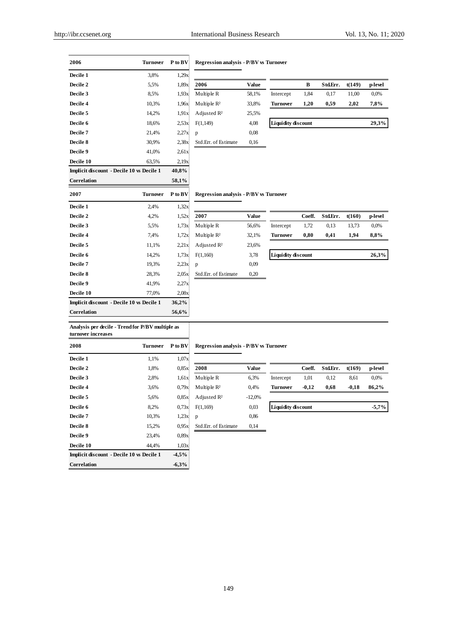| Decile 1                                  | 3.8%            | 1,29x   |                                       |       |                           |              |          |        |         |
|-------------------------------------------|-----------------|---------|---------------------------------------|-------|---------------------------|--------------|----------|--------|---------|
| Decile 2                                  | 5,5%            | 1,89x   | 2006                                  | Value |                           | $\, {\bf B}$ | Std.Err. | t(149) | p-level |
| Decile 3                                  | 8,5%            | 1,93x   | Multiple R                            | 58,1% | Intercept                 | 1,84         | 0,17     | 11,00  | 0,0%    |
| Decile 4                                  | 10,3%           | 1,96x   | Multiple R <sup>2</sup>               | 33,8% | <b>Turnover</b>           | 1,20         | 0,59     | 2,02   | 7,8%    |
| Decile 5                                  | 14,2%           | 1,91x   | Adjusted R <sup>2</sup>               | 25,5% |                           |              |          |        |         |
| Decile 6                                  | 18,6%           | 2.53x   | F(1,149)                              | 4,08  | <b>Liquidity discount</b> |              |          |        | 29,3%   |
| Decile 7                                  | 21,4%           | 2,27x   | p                                     | 0,08  |                           |              |          |        |         |
| Decile 8                                  | 30,9%           | 2,38x   | Std.Err. of Estimate                  | 0,16  |                           |              |          |        |         |
| Decile 9                                  | 41,0%           | 2,61x   |                                       |       |                           |              |          |        |         |
| Decile 10                                 | 63,5%           | 2,19x   |                                       |       |                           |              |          |        |         |
| Implicit discount - Decile 10 vs Decile 1 |                 | 40,8%   |                                       |       |                           |              |          |        |         |
| Correlation                               |                 | 58,1%   |                                       |       |                           |              |          |        |         |
| 2007                                      | <b>Turnover</b> | P to BV | Regression analysis - P/BV w Turnover |       |                           |              |          |        |         |
| Decile 1                                  | 2,4%            | 1,32x   |                                       |       |                           |              |          |        |         |
| Decile 2                                  | 4,2%            | 1,52x   | 2007                                  | Value |                           | Coeff.       | Std.Err. | t(160) | p-level |
| Decile 3                                  | 5,5%            | 1,73x   | Multiple R                            | 56,6% | Intercept                 | 1,72         | 0.13     | 13,73  | 0,0%    |
| Decile 4                                  | 7,4%            | 1,72x   | Multiple R <sup>2</sup>               | 32,1% | <b>Turnover</b>           | 0,80         | 0,41     | 1,94   | 8,8%    |
| Decile 5                                  | 11,1%           | 2,21x   | Adjusted R <sup>2</sup>               | 23,6% |                           |              |          |        |         |
| Decile 6                                  | 14,2%           | 1,73x   | F(1,160)                              | 3,78  | <b>Liquidity discount</b> |              |          |        | 26,3%   |
| Decile 7                                  | 19,3%           | 2,23x   | p                                     | 0,09  |                           |              |          |        |         |
| Decile 8                                  | 28,3%           | 2,05x   | Std.Err. of Estimate                  | 0,20  |                           |              |          |        |         |
| Decile 9                                  | 41,9%           | 2,27x   |                                       |       |                           |              |          |        |         |
| Decile 10                                 | 77,0%           | 2.08x   |                                       |       |                           |              |          |        |         |
| Implicit discount - Decile 10 vs Decile 1 |                 | 36,2%   |                                       |       |                           |              |          |        |         |
| Correlation                               |                 | 56,6%   |                                       |       |                           |              |          |        |         |

## **2006 Turnover P to BV Regression analysis - P/BV vs Turnover**

| Value |                           | в    | Std.Err. | t(149) | p-level |
|-------|---------------------------|------|----------|--------|---------|
| 58.1% | Intercept                 | 1.84 | 0.17     | 11.00  | 0.0%    |
| 33,8% | Turnover                  | 1.20 | 0.59     | 2.02   | 7,8%    |
| 25.5% |                           |      |          |        |         |
| 4.08  | <b>Liquidity discount</b> |      |          |        | 29,3%   |

### **2007 P/BV ws Turnover**

| Value |                           | Coeff. | Std.Err. | t(160) | p-level |
|-------|---------------------------|--------|----------|--------|---------|
| 56.6% | Intercept                 | 1,72   | 0.13     | 13.73  | 0.0%    |
| 32,1% | <b>Turnover</b>           | 0,80   | 0,41     | 1.94   | 8,8%    |
| 23,6% |                           |        |          |        |         |
| 3,78  | <b>Liquidity discount</b> |        |          |        | 26,3%   |
| 0,09  |                           |        |          |        |         |

# **Analysis per decile - Trend for P/BV multiple as**

| turnover increases                               |                 |          |                                   |          |
|--------------------------------------------------|-----------------|----------|-----------------------------------|----------|
| 2008                                             | <b>Turnover</b> | P to BV  | <b>Regression analysis - P/BV</b> |          |
| Decile 1                                         | 1,1%            | 1,07x    |                                   |          |
| Decile 2                                         | 1,8%            | 0.85x    | 2008                              | Value    |
| Decile 3                                         | 2,8%            | 1.61x    | Multiple R                        | 6,3%     |
| Decile 4                                         | 3.6%            | 0.79x    | Multiple $R^2$                    | 0,4%     |
| Decile 5                                         | 5,6%            | 0.85x    | Adjusted $\mathbb{R}^2$           | $-12,0%$ |
| Decile 6                                         | 8.2%            | 0.73x    | F(1,169)                          | 0,03     |
| Decile <sub>7</sub>                              | 10,3%           | 1,23x    | p                                 | 0,86     |
| <b>Decile 8</b>                                  | 15,2%           | 0.95x    | Std.Err. of Estimate              | 0,14     |
| Decile 9                                         | 23,4%           | 0.89x    |                                   |          |
| Decile 10                                        | 44,4%           | 1,03x    |                                   |          |
| <b>Implicit discount - Decile 10 vs Decile 1</b> |                 | $-4.5\%$ |                                   |          |
| <b>Correlation</b>                               |                 | $-6.3%$  |                                   |          |

## **Regression analysis - P/BV vs Turnover**

| респе 1         | 1.170 | 1,0/N |                         |          |                           |         |          |         |         |
|-----------------|-------|-------|-------------------------|----------|---------------------------|---------|----------|---------|---------|
| <b>Decile 2</b> | 1,8%  | 0.85x | 2008                    | Value    |                           | Coeff.  | Std.Err. | t(169)  | p-level |
| <b>Decile 3</b> | 2,8%  | 1.61x | Multiple R              | 6.3%     | Intercept                 | 1,01    | 0.12     | 8,61    | 0.0%    |
| <b>Decile 4</b> | 3.6%  | 0.79x | Multiple $R^2$          | 0.4%     | <b>Turnover</b>           | $-0.12$ | 0.68     | $-0.18$ | 86.2%   |
| <b>Decile 5</b> | 5.6%  | 0.85x | Adjusted $\mathbb{R}^2$ | $-12,0%$ |                           |         |          |         |         |
| <b>Decile 6</b> | 8.2%  | 0.73x | F(1,169)                | 0.03     | <b>Liquidity discount</b> |         |          |         | $-5,7%$ |
| Dee:15.7        | 10.20 | 1.22  | $\sim$                  | 00<      |                           |         |          |         |         |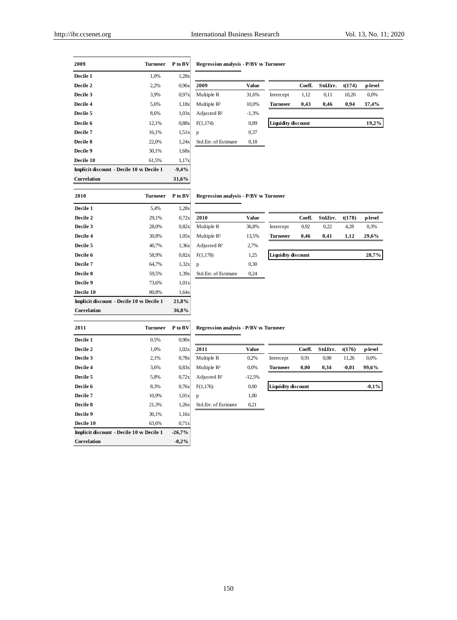| 2009                                      | <b>Turnover</b> | P to BV     | <b>Regression analysis - P/BV vs Turnover</b> |              |                      |
|-------------------------------------------|-----------------|-------------|-----------------------------------------------|--------------|----------------------|
| Decile 1                                  | 1,0%            | 1,28x       |                                               |              |                      |
| Decile 2                                  | 2,2%            | 0.96x       | 2009                                          | <b>Value</b> |                      |
| Decile 3                                  | 3,9%            | 0.97x       | Multiple R                                    | 31,6%        | Intercep             |
| Decile 4                                  | 5,6%            | 1,18x       | Multiple R <sup>2</sup>                       | 10,0%        | Turnov               |
| Decile 5                                  | 8,6%            | 1,03x       | Adjusted R <sup>2</sup>                       | $-1,3%$      |                      |
| Decile 6                                  | 12,1%           | 0.88x       | F(1,174)                                      | 0,89         | Liquidi <sup>1</sup> |
| Decile <sub>7</sub>                       | 16,1%           | 1.51x       | p                                             | 0,37         |                      |
| Decile 8                                  | 22,0%           | 1,24x       | Std.Err. of Estimate                          | 0,18         |                      |
| Decile 9                                  | 30,1%           | 1,68x       |                                               |              |                      |
| Decile 10                                 | 61,5%           | 1,17x       |                                               |              |                      |
| Implicit discount - Decile 10 vs Decile 1 |                 | $-9,4%$     |                                               |              |                      |
| Correlation                               |                 | 31,6%       |                                               |              |                      |
| 2010                                      | Turnover        | $P$ to $BV$ | <b>Regression analysis - P/BV vs Turnover</b> |              |                      |
| Decile 1                                  | 5,4%            | 1,28x       |                                               |              |                      |
| Decile 2                                  | 29,1%           | 0,72x       | 2010                                          | <b>Value</b> |                      |
| Decile 3                                  | 28,0%           | 0,82x       | Multiple R                                    | 36,8%        | Intercep             |
| Decile 4                                  | 30,8%           | 1,05x       | Multiple R <sup>2</sup>                       | 13,5%        | Turnow               |
| Decile 5                                  | 40,7%           | 1,36x       | Adjusted $\mathbb{R}^2$                       | 2,7%         |                      |
| Decile 6                                  | 58,9%           | 0.82x       | F(1,178)                                      | 1,25         | Liquidit             |
| Decile 7                                  | 64 7%           | 1.32x       | n                                             | 0.30         |                      |

|                 | ----   | ------  |                |         |                           |        |          |        |         |
|-----------------|--------|---------|----------------|---------|---------------------------|--------|----------|--------|---------|
| <b>Decile 2</b> | 2,2%   | 0.96x   | 2009           | Value   |                           | Coeff. | Std.Err. | t(174) | p-level |
| <b>Decile 3</b> | 3,9%   | 0.97x   | Multiple R     | 31.6%   | Intercept                 | 1.12   | 0.11     | 10.20  | 0,0%    |
| <b>Decile 4</b> | 5,6%   | 1.18x   | Multiple $R^2$ | 10.0%   | <b>Turnover</b>           | 0.43   | 0.46     | 0.94   | 37.4%   |
| <b>Decile 5</b> | 8.6%   | 1.03x   | Adjusted $R^2$ | $-1,3%$ |                           |        |          |        |         |
| <b>Decile 6</b> | 12.1%  | 0.88x   | F(1,174)       | 0,89    | <b>Liquidity discount</b> |        |          |        | 19,2%   |
| Decile 7        | 16.104 | 1.51 v! | $\sim$         | 0.27    |                           |        |          |        |         |

#### **2010 Turnover P to BV Regression analysis - P/BV vs Turnover**

| 2010                                             | Turnover | P to BV | <b>Regression analysis - P/BV</b> |       |
|--------------------------------------------------|----------|---------|-----------------------------------|-------|
| Decile 1                                         | 5,4%     | 1,28x   |                                   |       |
| Decile 2                                         | 29,1%    | 0.72x   | 2010                              | Valu  |
| Decile 3                                         | 28,0%    | 0.82x   | Multiple R                        | 36,8% |
| Decile 4                                         | 30,8%    | 1,05x   | Multiple $R^2$                    | 13,5% |
| Decile 5                                         | 40,7%    | 1,36x   | Adjusted $\mathbb{R}^2$           | 2,7%  |
| Decile 6                                         | 58,9%    | 0.82x   | F(1,178)                          | 1,25  |
| Decile 7                                         | 64,7%    | 1,32x   | p                                 | 0,30  |
| Decile 8                                         | 59,5%    | 1.39x   | Std.Err. of Estimate              | 0,24  |
| Decile 9                                         | 73,6%    | 1,01x   |                                   |       |
| Decile 10                                        | 80.8%    | 1,64x   |                                   |       |
| <b>Implicit discount - Decile 10 vs Decile 1</b> |          | 21,8%   |                                   |       |
| Correlation                                      |          | 36,8%   |                                   |       |

| респе 1         | 3.70  | 1.40A  |                |       |                           |        |          |        |         |
|-----------------|-------|--------|----------------|-------|---------------------------|--------|----------|--------|---------|
| <b>Decile 2</b> | 29,1% | 0.72x  | 2010           | Value |                           | Coeff. | Std.Err. | t(178) | p-level |
| <b>Decile 3</b> | 28,0% | 0.82x  | Multiple R     | 36.8% | Intercept                 | 0,92   | 0.22     | 4,28   | 0,3%    |
| <b>Decile 4</b> | 30.8% | 1.05x  | Multiple $R^2$ | 13,5% | <b>Turnover</b>           | 0.46   | 0.41     | 1.12   | 29.6%   |
| <b>Decile 5</b> | 40.7% | 1.36x) | Adjusted $R^2$ | 2,7%  |                           |        |          |        |         |
| <b>Decile 6</b> | 58.9% | 0.82x  | F(1,178)       | 1,25  | <b>Liquidity discount</b> |        |          |        | 28,7%   |
| Decile 7        | 61706 | 22v1   | $\mathbf{r}$   | 0.30  |                           |        |          |        |         |

## **2011 Turnover P to BV Regression analysis - P/BV vs Turnover**

| Decile 1                                         | 0,5%  | 0.90x    |                      |              |                           |        |          |         |         |
|--------------------------------------------------|-------|----------|----------------------|--------------|---------------------------|--------|----------|---------|---------|
| Decile 2                                         | 1,0%  | 1,02x    | 2011                 | <b>Value</b> |                           | Coeff. | Std.Err. | t(176)  | p-level |
| Decile 3                                         | 2,1%  | 0.78x    | Multiple R           | 0,2%         | Intercept                 | 0.91   | 0,08     | 11,26   | 0,0%    |
| Decile 4                                         | 3,6%  | 0.83x    | Multiple $R^2$       | 0,0%         | Turnover                  | 0.00   | 0,34     | $-0,01$ | 99,6%   |
| Decile 5                                         | 5,8%  | 0.72x    | Adjusted $R^2$       | $-12,5%$     |                           |        |          |         |         |
| Decile 6                                         | 8.3%  | 0,76x    | F(1,176)             | 0,00         | <b>Liquidity discount</b> |        |          |         | $-0.1%$ |
| Decile 7                                         | 10,9% | 1,01x    | p                    | 1,00         |                           |        |          |         |         |
| Decile 8                                         | 21,3% | 1,26x    | Std.Err. of Estimate | 0,21         |                           |        |          |         |         |
| Decile 9                                         | 30,1% | 1.16x    |                      |              |                           |        |          |         |         |
| Decile 10                                        | 63,6% | 0.71x    |                      |              |                           |        |          |         |         |
| <b>Implicit discount - Decile 10 vs Decile 1</b> |       | $-26,7%$ |                      |              |                           |        |          |         |         |
| <b>Correlation</b>                               |       | $-0.2%$  |                      |              |                           |        |          |         |         |

| Multiple R              | 0.2%     |
|-------------------------|----------|
| Multiple $R^2$          | 0.0%     |
| Adjusted R <sup>2</sup> | $-12,5%$ |
| F(1,176)                | 0.00     |
| р                       | 1,00     |
| Std.Err. of Estimate    | 0.21     |

| Decile 1        | $0.5\%$ | 0.90x |                         |          |                           |        |          |         |          |  |
|-----------------|---------|-------|-------------------------|----------|---------------------------|--------|----------|---------|----------|--|
| <b>Decile 2</b> | .0%     | 1.02x | 2011                    | Value    |                           | Coeff. | Std.Err. | t(176)  | p-level  |  |
| <b>Decile 3</b> | 2,1%    | 0.78x | Multiple R              | 0.2%     | Intercept                 | 0.91   | 0.08     | 11.26   | 0.0%     |  |
| <b>Decile 4</b> | 3.6%    | 0.83x | Multiple $R^2$          | 0,0%     | <b>Turnover</b>           | 0.00   | 0.34     | $-0.01$ | 99.6%    |  |
| <b>Decile 5</b> | 5.8%    | 0.72x | Adjusted $\mathbb{R}^2$ | $-12,5%$ |                           |        |          |         |          |  |
| <b>Decile 6</b> | 8.3%    | 0,76x | F(1,176)                | 0.00     | <b>Liquidity discount</b> |        |          |         | $-0.1\%$ |  |
|                 |         |       |                         |          |                           |        |          |         |          |  |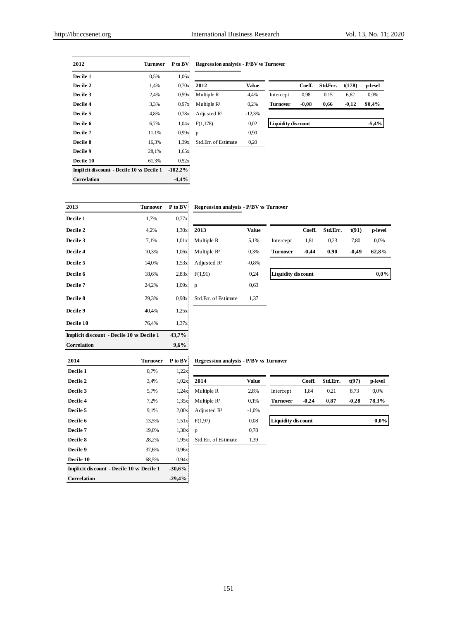| 2012                                      | <b>Turnover</b> | P to BV    | <b>Regression analysis - P/BV</b> |          |  |
|-------------------------------------------|-----------------|------------|-----------------------------------|----------|--|
| Decile 1                                  | 0.5%            | 1,06x      |                                   |          |  |
| Decile 2                                  | 1,4%            | 0.70x      | 2012                              | Valu     |  |
| Decile 3                                  | 2,4%            | 0.59x      | Multiple R                        | 4,4%     |  |
| Decile 4                                  | 3,3%            | 0.97x      | Multiple $R^2$                    | 0,2%     |  |
| Decile 5                                  | 4,8%            | 0.78x      | Adjusted $\mathbb{R}^2$           | $-12,39$ |  |
| Decile 6                                  | 6,7%            | 1,04x      | F(1,178)                          | 0.02     |  |
| Decile 7                                  | 11,1%           | 0.99x      | p                                 | 0,90     |  |
| Decile 8                                  | 16,3%           | 1.39x      | Std.Err. of Estimate              | 0,20     |  |
| Decile 9                                  | 28,1%           | 1,65x      |                                   |          |  |
| Decile 10                                 | 61,3%           | 0.52x      |                                   |          |  |
| Implicit discount - Decile 10 vs Decile 1 |                 | $-102.2\%$ |                                   |          |  |
| Correlation                               |                 | $-4.4%$    |                                   |          |  |

## **Regression analysis - P/BV vs Turnover**

| -------         |      |       |                         |              |                           |         |          |         |         |
|-----------------|------|-------|-------------------------|--------------|---------------------------|---------|----------|---------|---------|
| <b>Decile 2</b> | .4%  | 0.70x | 2012                    | <b>Value</b> |                           | Coeff.  | Std.Err. | t(178)  | p-level |
| <b>Decile 3</b> | 2,4% | 0.59x | Multiple R              | 4.4%         | Intercept                 | 0.98    | 0.15     | 6.62    | 0.0%    |
| <b>Decile 4</b> | 3,3% | 0.97x | Multiple $\mathbb{R}^2$ | 0,2%         | Turnover                  | $-0.08$ | 0.66     | $-0.12$ | 90.4%   |
| <b>Decile 5</b> | 4.8% | 0.78x | Adjusted $\mathbb{R}^2$ | $-12,3%$     |                           |         |          |         |         |
| <b>Decile 6</b> | 6.7% | 1.04x | F(1,178)                | 0,02         | <b>Liquidity discount</b> |         |          |         | $-5,4%$ |
|                 |      |       |                         |              |                           |         |          |         |         |

| 2013                                             | <b>Turnover</b> | P to BV | <b>Regression analysis - P/BV</b> |         |  |
|--------------------------------------------------|-----------------|---------|-----------------------------------|---------|--|
| Decile 1                                         | 1,7%            | 0.77x   |                                   |         |  |
| Decile 2                                         | 4,2%            | 1.30x   | 2013                              | Valu    |  |
| Decile 3                                         | 7,1%            | 1.01x   | Multiple R                        | 5,1%    |  |
| Decile 4                                         | 10,3%           | 1,06x   | Multiple $R^2$                    | 0,3%    |  |
| Decile 5                                         | 14,0%           | 1.53x   | Adjusted $R^2$                    | $-0.8%$ |  |
| Decile 6                                         | 18,6%           | 2,83x   | F(1,91)                           | 0,24    |  |
| Decile 7                                         | 24,2%           | 1,09x   | p                                 | 0,63    |  |
| Decile 8                                         | 29,3%           | 0.98x   | Std.Err. of Estimate              | 1,37    |  |
| Decile 9                                         | 40,4%           | 1,25x   |                                   |         |  |
| Decile 10                                        | 76,4%           | 1.37x   |                                   |         |  |
| <b>Implicit discount - Decile 10 vs Decile 1</b> |                 | 43,7%   |                                   |         |  |
| Correlation                                      |                 | 9,6%    |                                   |         |  |

## **Regression analysis - P/BV vs Turnover**

| рссис 1         | 1, 770 | 0, 1, 1, 2 |                |         |                           |         |          |         |         |
|-----------------|--------|------------|----------------|---------|---------------------------|---------|----------|---------|---------|
| <b>Decile 2</b> | 4,2%   | 1.30x      | 2013           | Value   |                           | Coeff.  | Std.Err. | t(91)   | p-level |
| <b>Decile 3</b> | 7,1%   | 1.01x      | Multiple R     | 5,1%    | Intercept                 | 1,81    | 0.23     | 7,80    | 0,0%    |
| <b>Decile 4</b> | 10,3%  | 1,06x      | Multiple $R^2$ | 0,3%    | <b>Turnover</b>           | $-0.44$ | 0.90     | $-0.49$ | 62,8%   |
| <b>Decile 5</b> | 14.0%  | 1,53x      | Adjusted $R^2$ | $-0.8%$ |                           |         |          |         |         |
| <b>Decile 6</b> | 18,6%  | 2.83x      | F(1,91)        | 0,24    | <b>Liquidity discount</b> |         |          |         | 0,0%    |
| <b>Decile 7</b> | 24,2%  | 1.09x      | D              | 0.63    |                           |         |          |         |         |

| 2014                                      | <b>Turnover</b> | P to BV  | <b>Regression analysis - P/BV</b> |         |
|-------------------------------------------|-----------------|----------|-----------------------------------|---------|
| Decile 1                                  | 0,7%            | 1,22x    |                                   |         |
| Decile 2                                  | 3,4%            | 1,02x    | 2014                              | Valu    |
| Decile 3                                  | 5,7%            | 1,24x    | Multiple R                        | 2,8%    |
| Decile 4                                  | 7,2%            | 1,35x    | Multiple $R^2$                    | 0,1%    |
| Decile 5                                  | 9,1%            | 2,00x    | Adjusted $R^2$                    | $-1,0%$ |
| Decile 6                                  | 13,5%           | 1,51x    | F(1,97)                           | 0.08    |
| Decile 7                                  | 19,0%           | 1,30x    | p                                 | 0,78    |
| Decile 8                                  | 28,2%           | 1.95x    | Std.Err. of Estimate              | 1,39    |
| Decile 9                                  | 37,6%           | 0.96x    |                                   |         |
| Decile 10                                 | 68,5%           | 0.94x    |                                   |         |
| Implicit discount - Decile 10 vs Decile 1 |                 | $-30,6%$ |                                   |         |
| <b>Correlation</b>                        |                 | $-29,4%$ |                                   |         |

## **Regression analysis - P/BV vs Turnover**

| респе 1         | $0.7\%$ | 1,22X      |                         |         |                           |         |          |         |         |  |
|-----------------|---------|------------|-------------------------|---------|---------------------------|---------|----------|---------|---------|--|
| <b>Decile 2</b> | 3.4%    | 1,02x      | 2014                    | Value   |                           | Coeff.  | Std.Err. | t(97)   | p-level |  |
| <b>Decile 3</b> | 5,7%    | 1.24x      | Multiple R              | 2,8%    | Intercept                 | 1,84    | 0,21     | 8.73    | 0.0%    |  |
| <b>Decile 4</b> | 7.2%    | 1.35x      | Multiple $R^2$          | 0,1%    | <b>Turnover</b>           | $-0.24$ | 0.87     | $-0.28$ | 78.3%   |  |
| <b>Decile 5</b> | 9.1%    | 2.00x      | Adjusted $\mathbb{R}^2$ | $-1,0%$ |                           |         |          |         |         |  |
| <b>Decile 6</b> | 13.5%   | 1,51x      | F(1,97)                 | 0.08    | <b>Liquidity discount</b> |         |          |         | $0.0\%$ |  |
| Dooile 7        | 10.004  | $1.20v!$ n |                         | 0.79    |                           |         |          |         |         |  |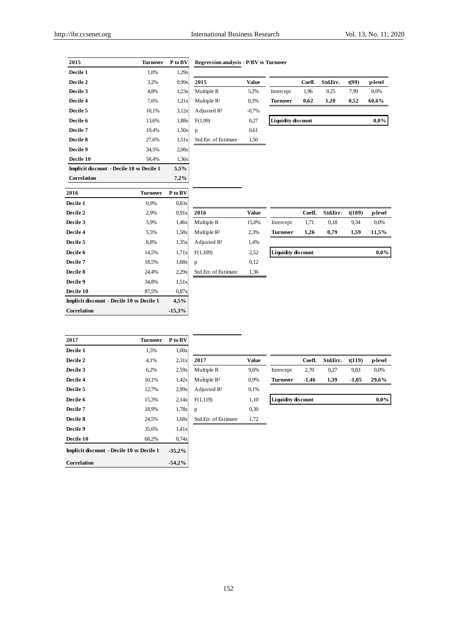|                                                  |                 | 1 W D 1  | ке созной анагузіз - 1 / D т |              |                           |        |          |        |         |
|--------------------------------------------------|-----------------|----------|------------------------------|--------------|---------------------------|--------|----------|--------|---------|
| Decile 1                                         | 1,0%            | 1,29x    |                              |              |                           |        |          |        |         |
| Decile 2                                         | 3,2%            | 0.99x    | 2015                         | <b>Value</b> |                           | Coeff. | Std.Err. | t(99)  | p-level |
| Decile 3                                         | 4,8%            | 1,23x    | Multiple R                   | 5,2%         | Intercept                 | 1,96   | 0,25     | 7,99   | 0,0%    |
| Decile 4                                         | 7,6%            | 1,21x    | Multiple R <sup>2</sup>      | 0,3%         | <b>Turnover</b>           | 0,62   | 1,20     | 0,52   | 60,6%   |
| Decile 5                                         | 10,1%           | 3,12x    | Adjusted $R^2$               | $-0,7%$      |                           |        |          |        |         |
| Decile 6                                         | 13,6%           | 1,88x    | F(1,99)                      | 0,27         | <b>Liquidity discount</b> |        |          |        | 0,0%    |
| Decile 7                                         | 19,4%           | 1,50x    | p                            | 0,61         |                           |        |          |        |         |
| Decile 8                                         | 27,6%           | 1.51x    | Std.Err. of Estimate         | 1,50         |                           |        |          |        |         |
| Decile 9                                         | 34,5%           | 2,08x    |                              |              |                           |        |          |        |         |
| Decile 10                                        | 58,4%           | 1,36x    |                              |              |                           |        |          |        |         |
| <b>Implicit discount - Decile 10 vs Decile 1</b> |                 | 5,5%     |                              |              |                           |        |          |        |         |
| Correlation                                      |                 | 7,2%     |                              |              |                           |        |          |        |         |
| 2016                                             | <b>Turnover</b> | P to BV  |                              |              |                           |        |          |        |         |
| Decile 1                                         | 0,9%            | 0.83x    |                              |              |                           |        |          |        |         |
| Decile 2                                         | 2,9%            | 0.91x    | 2016                         | <b>Value</b> |                           | Coeff. | Std.Err. | t(109) | p-level |
| Decile 3                                         | 3,9%            | 1,46x    | Multiple R                   | 15,0%        | Intercept                 | 1,71   | 0,18     | 9,34   | 0,0%    |
| Decile 4                                         | 5,5%            | 1,58x    | Multiple $R^2$               | 2,3%         | <b>Turnover</b>           | 1,26   | 0,79     | 1,59   | 11,5%   |
| Decile 5                                         | 8,8%            | 1,35x    | Adjusted R <sup>2</sup>      | 1,4%         |                           |        |          |        |         |
| Decile 6                                         | 14,5%           | 1,71x    | F(1,109)                     | 2,52         | <b>Liquidity discount</b> |        |          |        | $0.0\%$ |
| Decile 7                                         | 18,5%           | 1,68x    | p                            | 0,12         |                           |        |          |        |         |
| Decile 8                                         | 24,4%           | 2,29x    | Std.Err. of Estimate         | 1,36         |                           |        |          |        |         |
| Decile 9                                         | 34,8%           | 1,51x    |                              |              |                           |        |          |        |         |
| Decile 10                                        | 87,5%           | 0,87x    |                              |              |                           |        |          |        |         |
| <b>Implicit discount - Decile 10 vs Decile 1</b> |                 | 4,5%     |                              |              |                           |        |          |        |         |
| Correlation                                      |                 | $-15,3%$ |                              |              |                           |        |          |        |         |

## **2015 Turnover P** to **BV Regression analysis - P/BV vs Turnover**

|                 | Coeff. | Std.Err. | t(99) | p-level |
|-----------------|--------|----------|-------|---------|
| Intercept       | 1,96   | 0.25     | 7,99  | 0,0%    |
| <b>Turnover</b> | 0,62   | 1.20     | 0,52  | 60,6%   |

| P to BV |                         |
|---------|-------------------------|
| 0,83x   |                         |
| 0.91x   | 2016                    |
| 1,46x   | Multiple R              |
| 1.58x   | Multiple $R^2$          |
| 1.35x   | Adjusted R <sup>2</sup> |
| 1,71x   | F(1,109)                |
| 1,68x   | p                       |
| 2.29x   | Std. Frr. of Estimate   |
| 1,51x   |                         |
|         |                         |

| <b>/alue</b>  |                           | Coeff. | Std.Err. | t(109) | p-level |
|---------------|---------------------------|--------|----------|--------|---------|
| 5,0%          | Intercept                 | 1.71   | 0.18     | 9.34   | 0.0%    |
| 2,3%          | Turnover                  | 1.26   | 0.79     | 1.59   | 11,5%   |
| 1,4%          |                           |        |          |        |         |
| 2,52          | <b>Liquidity discount</b> |        |          |        | $0.0\%$ |
| $\sim$ $\sim$ |                           |        |          |        |         |

| 2017                                             | <b>Turnover</b> | P to BV  |                      |              |                           |         |          |         |         |
|--------------------------------------------------|-----------------|----------|----------------------|--------------|---------------------------|---------|----------|---------|---------|
| Decile 1                                         | 1,5%            | 1,00x    |                      |              |                           |         |          |         |         |
| Decile 2                                         | 4,1%            | 2,31x    | 2017                 | <b>Value</b> |                           | Coeff.  | Std.Err. | t(119)  | p-level |
| Decile 3                                         | 6,2%            | 2,59x    | Multiple R           | 9,6%         | Intercept                 | 2,70    | 0,27     | 9,83    | 0,0%    |
| Decile 4                                         | 10,1%           | 1,42x    | Multiple $R^2$       | 0,9%         | <b>Turnover</b>           | $-1,46$ | 1,39     | $-1,05$ | 29,6%   |
| Decile 5                                         | 12,7%           | 2.99x    | Adjusted $R^2$       | 0,1%         |                           |         |          |         |         |
| Decile 6                                         | 15,3%           | 2,14x    | F(1,119)             | 1,10         | <b>Liquidity discount</b> |         |          |         | $0.0\%$ |
| Decile 7                                         | 18,9%           | 1,78x    | p                    | 0,30         |                           |         |          |         |         |
| Decile 8                                         | 24,5%           | 1,68x    | Std.Err. of Estimate | 1,72         |                           |         |          |         |         |
| Decile 9                                         | 35,6%           | 1,41x    |                      |              |                           |         |          |         |         |
| Decile 10                                        | 68,2%           | 0,74x    |                      |              |                           |         |          |         |         |
| <b>Implicit discount - Decile 10 vs Decile 1</b> |                 | $-35,2%$ |                      |              |                           |         |          |         |         |
| Correlation                                      |                 | $-54,2%$ |                      |              |                           |         |          |         |         |

| 2017                    | Value |
|-------------------------|-------|
| Multiple R              | 9.6%  |
| Multiple R <sup>2</sup> | 0,9%  |
| Adjusted $R^2$          | 0,1%  |
| F(1,119)                | 1,10  |
| р                       | 0,30  |
| Std.Frr. of Estimate    | 1.72  |

152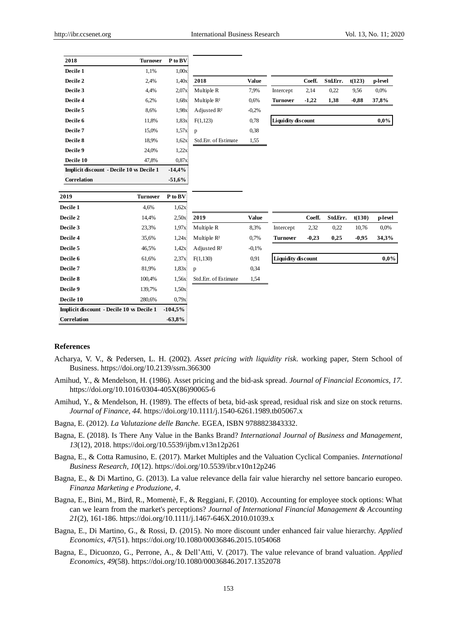| 2018                                             | <b>Turnover</b> | P to BV   |                         |              |                           |         |          |         |         |
|--------------------------------------------------|-----------------|-----------|-------------------------|--------------|---------------------------|---------|----------|---------|---------|
| Decile 1                                         | 1,1%            | 1,00x     |                         |              |                           |         |          |         |         |
| Decile 2                                         | 2,4%            | 1,40x     | 2018                    | Value        |                           | Coeff.  | Std.Err. | t(123)  | p-level |
| Decile 3                                         | 4,4%            | 2,07x     | Multiple R              | 7,9%         | Intercept                 | 2,14    | 0,22     | 9,56    | 0,0%    |
| Decile 4                                         | 6,2%            | 1,68x     | Multiple $R^2$          | 0,6%         | <b>Turnover</b>           | $-1,22$ | 1,38     | $-0,88$ | 37,8%   |
| Decile 5                                         | 8,6%            | 1,98x     | Adjusted R <sup>2</sup> | $-0,2%$      |                           |         |          |         |         |
| Decile 6                                         | 11,8%           | 1,83x     | F(1,123)                | 0,78         | <b>Liquidity discount</b> |         |          |         | $0.0\%$ |
| Decile 7                                         | 15,0%           | 1,57x     | p                       | 0,38         |                           |         |          |         |         |
| Decile 8                                         | 18,9%           | 1,62x     | Std.Err. of Estimate    | 1,55         |                           |         |          |         |         |
| Decile 9                                         | 24,0%           | 1,22x     |                         |              |                           |         |          |         |         |
| Decile 10                                        | 47,8%           | 0,87x     |                         |              |                           |         |          |         |         |
| Implicit discount - Decile 10 vs Decile 1        |                 | $-14,4%$  |                         |              |                           |         |          |         |         |
| Correlation                                      |                 | $-51,6%$  |                         |              |                           |         |          |         |         |
|                                                  |                 |           |                         |              |                           |         |          |         |         |
| 2019                                             | <b>Turnover</b> | P to BV   |                         |              |                           |         |          |         |         |
| Decile 1                                         | 4,6%            | 1,62x     |                         |              |                           |         |          |         |         |
| Decile 2                                         | 14,4%           | 2,50x     | 2019                    | <b>Value</b> |                           | Coeff.  | Std.Err. | t(130)  | p-level |
| Decile 3                                         | 23,3%           | 1,97x     | Multiple R              | 8,3%         | Intercept                 | 2,32    | 0,22     | 10,76   | 0,0%    |
| Decile 4                                         | 35,6%           | 1,24x     | Multiple R <sup>2</sup> | 0,7%         | <b>Turnover</b>           | $-0,23$ | 0,25     | $-0,95$ | 34,3%   |
| Decile 5                                         | 46,5%           | 1,42x     | Adjusted $R^2$          | $-0,1%$      |                           |         |          |         |         |
| Decile 6                                         | 61,6%           | 2,37x     | F(1,130)                | 0,91         | <b>Liquidity discount</b> |         |          |         | 0,0%    |
| Decile 7                                         | 81,9%           | 1,83x     | p                       | 0,34         |                           |         |          |         |         |
| Decile 8                                         | 100,4%          | 1,56x     | Std.Err. of Estimate    | 1,54         |                           |         |          |         |         |
| Decile 9                                         | 139,7%          | 1,50x     |                         |              |                           |         |          |         |         |
| Decile 10                                        | 280,6%          | 0,79x     |                         |              |                           |         |          |         |         |
| <b>Implicit discount - Decile 10 vs Decile 1</b> |                 | $-104,5%$ |                         |              |                           |         |          |         |         |
| Correlation                                      |                 | $-63,8%$  |                         |              |                           |         |          |         |         |

#### **References**

- Acharya, V. V., & Pedersen, L. H. (2002). *Asset pricing with liquidity risk*. working paper, Stern School of Business. https://doi.org/10.2139/ssrn.366300
- Amihud, Y., & Mendelson, H. (1986). Asset pricing and the bid-ask spread. *Journal of Financial Economics, 17.* https://doi.org/10.1016/0304-405X(86)90065-6
- Amihud, Y., & Mendelson, H. (1989). The effects of beta, bid-ask spread, residual risk and size on stock returns. *Journal of Finance, 44.* https://doi.org/10.1111/j.1540-6261.1989.tb05067.x
- Bagna, E. (2012). *La Valutazione delle Banche.* EGEA, ISBN 9788823843332.
- Bagna, E. (2018). Is There Any Value in the Banks Brand? *International Journal of Business and Management, 13*(12), 2018. https://doi.org/10.5539/ijbm.v13n12p261
- Bagna, E., & Cotta Ramusino, E. (2017). Market Multiples and the Valuation Cyclical Companies. *International Business Research, 10*(12). https://doi.org/10.5539/ibr.v10n12p246
- Bagna, E., & Di Martino, G. (2013). La value relevance della fair value hierarchy nel settore bancario europeo. *Finanza Marketing e Produzione, 4.*
- Bagna, E., Bini, M., Bird, R., Momentè, F., & Reggiani, F. (2010). Accounting for employee stock options: What can we learn from the market's perceptions? *Journal of International Financial Management & Accounting 21*(2), 161-186. https://doi.org/10.1111/j.1467-646X.2010.01039.x
- Bagna, E., Di Martino, G., & Rossi, D. (2015). No more discount under enhanced fair value hierarchy. *Applied Economics, 47*(51).<https://doi.org/10.1080/00036846.2015.1054068>
- Bagna, E., Dicuonzo, G., Perrone, A., & Dell'Atti, V. (2017). The value relevance of brand valuation. *Applied Economics, 49*(58).<https://doi.org/10.1080/00036846.2017.1352078>